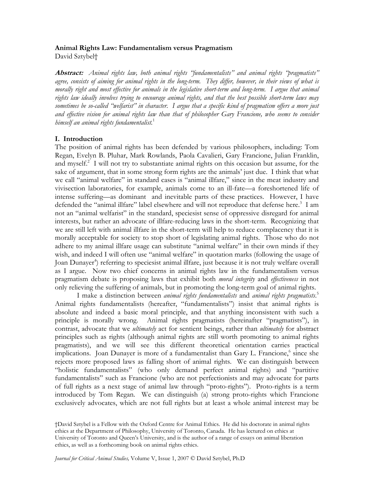# **Animal Rights Law: Fundamentalism versus Pragmatism**

David Sztybel†

**Abstract:** *Animal rights law, both animal rights "fundamentalists" and animal rights "pragmatists" agree, consists of aiming for animal rights in the long-term. They differ, however, in their views of what is morally right and most effective for animals in the legislative short-term and long-term. I argue that animal rights law ideally involves trying to encourage animal rights, and that the best possible short-term laws may sometimes be so-called "welfarist" in character. I argue that a specific kind of pragmatism offers a more just and effective vision for animal rights law than that of philosopher Gary Francione, who seems to consider himself an animal rights fundamentalist.*<sup>1</sup>

# **I. Introduction**

The position of animal rights has been defended by various philosophers, including: Tom Regan, Evelyn B. Pluhar, Mark Rowlands, Paola Cavalieri, Gary Francione, Julian Franklin, and myself. $2$  I will not try to substantiate animal rights on this occasion but assume, for the sake of argument, that in some strong form rights are the animals' just due. I think that what we call "animal welfare" in standard cases is "animal illfare," since in the meat industry and vivisection laboratories, for example, animals come to an ill-fate—a foreshortened life of intense suffering—as dominant and inevitable parts of these practices. However, I have defended the "animal illfare" label elsewhere and will not reproduce that defense here.<sup>3</sup> I am not an "animal welfarist" in the standard, speciesist sense of oppressive disregard for animal interests, but rather an advocate of illfare-reducing laws in the short-term. Recognizing that we are still left with animal illfare in the short-term will help to reduce complacency that it is morally acceptable for society to stop short of legislating animal rights. Those who do not adhere to my animal illfare usage can substitute "animal welfare" in their own minds if they wish, and indeed I will often use "animal welfare" in quotation marks (following the usage of Joan Dunayer<sup>4</sup>) referring to speciesist animal illfare, just because it is not truly welfare overall as I argue. Now two chief concerns in animal rights law in the fundamentalism versus pragmatism debate is proposing laws that exhibit both *moral integrity* and *effectiveness* in not only relieving the suffering of animals, but in promoting the long-term goal of animal rights.

 I make a distinction between *animal rights fundamentalists* and *animal rights pragmatists*. 5 Animal rights fundamentalists (hereafter, "fundamentalists") insist that animal rights is absolute and indeed a basic moral principle, and that anything inconsistent with such a principle is morally wrong. Animal rights pragmatists (hereinafter "pragmatists"), in contrast, advocate that we *ultimately* act for sentient beings, rather than *ultimately* for abstract principles such as rights (although animal rights are still worth promoting to animal rights pragmatists), and we will see this different theoretical orientation carries practical implications. Joan Dunayer is more of a fundamentalist than Gary L. Francione,<sup>6</sup> since she rejects more proposed laws as falling short of animal rights. We can distinguish between "holistic fundamentalists" (who only demand perfect animal rights) and "partitive fundamentalists" such as Francione (who are not perfectionists and may advocate for parts of full rights as a next stage of animal law through "proto-rights"). Proto-rights is a term introduced by Tom Regan. We can distinguish (a) strong proto-rights which Francione exclusively advocates, which are not full rights but at least a whole animal interest may be

†David Sztybel is a Fellow with the Oxford Centre for Animal Ethics. He did his doctorate in animal rights ethics at the Department of Philosophy, University of Toronto, Canada. He has lectured on ethics at University of Toronto and Queen's University, and is the author of a range of essays on animal liberation ethics, as well as a forthcoming book on animal rights ethics.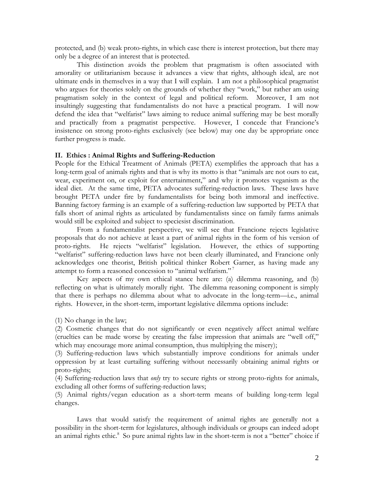protected, and (b) weak proto-rights, in which case there is interest protection, but there may only be a degree of an interest that is protected.

This distinction avoids the problem that pragmatism is often associated with amorality or utilitarianism because it advances a view that rights, although ideal, are not ultimate ends in themselves in a way that I will explain. I am not a philosophical pragmatist who argues for theories solely on the grounds of whether they "work," but rather am using pragmatism solely in the context of legal and political reform. Moreover, I am not insultingly suggesting that fundamentalists do not have a practical program. I will now defend the idea that "welfarist" laws aiming to reduce animal suffering may be best morally and practically from a pragmatist perspective. However, I concede that Francione's insistence on strong proto-rights exclusively (see below) may one day be appropriate once further progress is made.

## **II. Ethics : Animal Rights and Suffering-Reduction**

People for the Ethical Treatment of Animals (PETA) exemplifies the approach that has a long-term goal of animals rights and that is why its motto is that "animals are not ours to eat, wear, experiment on, or exploit for entertainment," and why it promotes veganism as the ideal diet. At the same time, PETA advocates suffering-reduction laws. These laws have brought PETA under fire by fundamentalists for being both immoral and ineffective. Banning factory farming is an example of a suffering-reduction law supported by PETA that falls short of animal rights as articulated by fundamentalists since on family farms animals would still be exploited and subject to speciesist discrimination.

From a fundamentalist perspective, we will see that Francione rejects legislative proposals that do not achieve at least a part of animal rights in the form of his version of proto-rights. He rejects "welfarist" legislation. However, the ethics of supporting "welfarist" suffering-reduction laws have not been clearly illuminated, and Francione only acknowledges one theorist, British political thinker Robert Garner, as having made any attempt to form a reasoned concession to "animal welfarism."<sup>7</sup>

Key aspects of my own ethical stance here are: (a) dilemma reasoning, and (b) reflecting on what is ultimately morally right. The dilemma reasoning component is simply that there is perhaps no dilemma about what to advocate in the long-term—i.e., animal rights. However, in the short-term, important legislative dilemma options include:

(1) No change in the law;

(2) Cosmetic changes that do not significantly or even negatively affect animal welfare (cruelties can be made worse by creating the false impression that animals are "well off," which may encourage more animal consumption, thus multiplying the misery);

(3) Suffering-reduction laws which substantially improve conditions for animals under oppression by at least curtailing suffering without necessarily obtaining animal rights or proto-rights;

(4) Suffering-reduction laws that *only* try to secure rights or strong proto-rights for animals, excluding all other forms of suffering-reduction laws;

(5) Animal rights/vegan education as a short-term means of building long-term legal changes.

Laws that would satisfy the requirement of animal rights are generally not a possibility in the short-term for legislatures, although individuals or groups can indeed adopt an animal rights ethic.<sup>8</sup> So pure animal rights law in the short-term is not a "better" choice if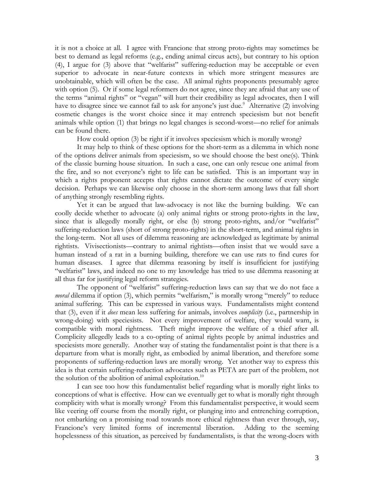it is not a choice at all. I agree with Francione that strong proto-rights may sometimes be best to demand as legal reforms (e.g., ending animal circus acts), but contrary to his option (4), I argue for (3) above that "welfarist" suffering-reduction may be acceptable or even superior to advocate in near-future contexts in which more stringent measures are unobtainable, which will often be the case. All animal rights proponents presumably agree with option (5). Or if some legal reformers do not agree, since they are afraid that any use of the terms "animal rights" or "vegan" will hurt their credibility as legal advocates, then I will have to disagree since we cannot fail to ask for anyone's just due.<sup>9</sup> Alternative (2) involving cosmetic changes is the worst choice since it may entrench speciesism but not benefit animals while option (1) that brings no legal changes is second-worst—no relief for animals can be found there.

How could option (3) be right if it involves speciesism which is morally wrong?

It may help to think of these options for the short-term as a dilemma in which none of the options deliver animals from speciesism, so we should choose the best one(s). Think of the classic burning house situation. In such a case, one can only rescue one animal from the fire, and so not everyone's right to life can be satisfied. This is an important way in which a rights proponent accepts that rights cannot dictate the outcome of every single decision. Perhaps we can likewise only choose in the short-term among laws that fall short of anything strongly resembling rights.

Yet it can be argued that law-advocacy is not like the burning building. We can coolly decide whether to advocate (a) only animal rights or strong proto-rights in the law, since that is allegedly morally right, or else (b) strong proto-rights, and/or "welfarist" suffering-reduction laws (short of strong proto-rights) in the short-term, and animal rights in the long-term. Not all uses of dilemma reasoning are acknowledged as legitimate by animal rightists. Vivisectionists—contrary to animal rightists—often insist that we would save a human instead of a rat in a burning building, therefore we can use rats to find cures for human diseases. I agree that dilemma reasoning by itself is insufficient for justifying "welfarist" laws, and indeed no one to my knowledge has tried to use dilemma reasoning at all thus far for justifying legal reform strategies.

 The opponent of "welfarist" suffering-reduction laws can say that we do not face a *moral* dilemma if option (3), which permits "welfarism," is morally wrong "merely" to reduce animal suffering. This can be expressed in various ways. Fundamentalists might contend that (3), even if it *does* mean less suffering for animals, involves *complicity* (i.e., partnership in wrong-doing) with speciesists. Not every improvement of welfare, they would warn, is compatible with moral rightness. Theft might improve the welfare of a thief after all. Complicity allegedly leads to a co-opting of animal rights people by animal industries and speciesists more generally. Another way of stating the fundamentalist point is that there is a departure from what is morally right, as embodied by animal liberation, and therefore some proponents of suffering-reduction laws are morally wrong. Yet another way to express this idea is that certain suffering-reduction advocates such as PETA are part of the problem, not the solution of the abolition of animal exploitation.<sup>10</sup>

I can see too how this fundamentalist belief regarding what is morally right links to conceptions of what is effective. How can we eventually get to what is morally right through complicity with what is morally wrong? From this fundamentalist perspective, it would seem like veering off course from the morally right, or plunging into and entrenching corruption, not embarking on a promising road towards more ethical rightness than ever through, say, Francione's very limited forms of incremental liberation. Adding to the seeming hopelessness of this situation, as perceived by fundamentalists, is that the wrong-doers with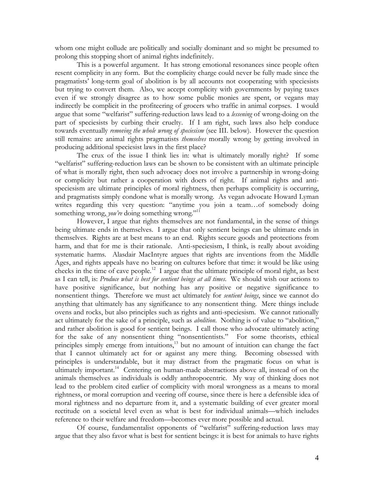whom one might collude are politically and socially dominant and so might be presumed to prolong this stopping short of animal rights indefinitely.

 This is a powerful argument. It has strong emotional resonances since people often resent complicity in any form. But the complicity charge could never be fully made since the pragmatists' long-term goal of abolition is by all accounts not cooperating with speciesists but trying to convert them. Also, we accept complicity with governments by paying taxes even if we strongly disagree as to how some public monies are spent, or vegans may indirectly be complicit in the profiteering of grocers who traffic in animal corpses. I would argue that some "welfarist" suffering-reduction laws lead to a *lessening* of wrong-doing on the part of speciesists by curbing their cruelty. If I am right, such laws also help conduce towards eventually *removing the whole wrong of speciesism* (see III. below). However the question still remains: are animal rights pragmatists *themselves* morally wrong by getting involved in producing additional speciesist laws in the first place?

The crux of the issue I think lies in: what is ultimately morally right? If some "welfarist" suffering-reduction laws can be shown to be consistent with an ultimate principle of what is morally right, then such advocacy does not involve a partnership in wrong-doing or complicity but rather a cooperation with doers of right. If animal rights and antispeciesism are ultimate principles of moral rightness, then perhaps complicity is occurring, and pragmatists simply condone what is morally wrong. As vegan advocate Howard Lyman writes regarding this very question: "anytime you join a team...of somebody doing something wrong, *you're* doing something wrong."<sup>11</sup>

 However, I argue that rights themselves are not fundamental, in the sense of things being ultimate ends in themselves. I argue that only sentient beings can be ultimate ends in themselves. Rights are at best means to an end. Rights secure goods and protections from harm, and that for me is their rationale. Anti-speciesism, I think, is really about avoiding systematic harms. Alasdair MacIntyre argues that rights are inventions from the Middle Ages, and rights appeals have no bearing on cultures before that time: it would be like using checks in the time of cave people.12 I argue that the ultimate principle of moral right, as best as I can tell, is: *Produce what is best for sentient beings at all times*.We should wish our actions to have positive significance, but nothing has any positive or negative significance to nonsentient things. Therefore we must act ultimately for *sentient beings*, since we cannot do anything that ultimately has any significance to any nonsentient thing. Mere things include ovens and rocks, but also principles such as rights and anti-speciesism. We cannot rationally act ultimately for the sake of a principle, such as *abolition*. Nothing is of value to "abolition," and rather abolition is good for sentient beings. I call those who advocate ultimately acting for the sake of any nonsentient thing "nonsentientists." For some theorists, ethical principles simply emerge from intuitions,<sup>13</sup> but no amount of intuition can change the fact that I cannot ultimately act for or against any mere thing. Becoming obsessed with principles is understandable, but it may distract from the pragmatic focus on what is ultimately important.<sup>14</sup> Centering on human-made abstractions above all, instead of on the animals themselves as individuals is oddly anthropocentric. My way of thinking does not lead to the problem cited earlier of complicity with moral wrongness as a means to moral rightness, or moral corruption and veering off course, since there is here a defensible idea of moral rightness and no departure from it, and a systematic building of ever greater moral rectitude on a societal level even as what is best for individual animals—which includes reference to their welfare and freedom—becomes ever more possible and actual.

Of course, fundamentalist opponents of "welfarist" suffering-reduction laws may argue that they also favor what is best for sentient beings: it is best for animals to have rights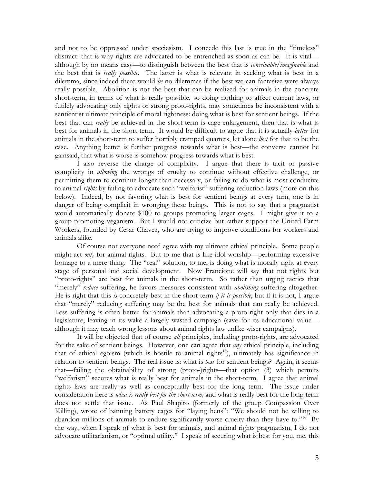and not to be oppressed under speciesism. I concede this last is true in the "timeless" abstract: that is why rights are advocated to be entrenched as soon as can be. It is vital although by no means easy—to distinguish between the best that is *conceivable/imaginable* and the best that is *really possible*. The latter is what is relevant in seeking what is best in a dilemma, since indeed there would *be* no dilemmas if the best we can fantasize were always really possible. Abolition is not the best that can be realized for animals in the concrete short-term, in terms of what is really possible, so doing nothing to affect current laws, or futilely advocating only rights or strong proto-rights, may sometimes be inconsistent with a sentientist ultimate principle of moral rightness: doing what is best for sentient beings. If the best that can *really* be achieved in the short-term is cage-enlargement, then that is what is best for animals in the short-term. It would be difficult to argue that it is actually *better* for animals in the short-term to suffer horribly cramped quarters, let alone *best* for that to be the case. Anything better is further progress towards what is best—the converse cannot be gainsaid, that what is worse is somehow progress towards what is best.

I also reverse the charge of complicity. I argue that there is tacit or passive complicity in *allowing* the wrongs of cruelty to continue without effective challenge, or permitting them to continue longer than necessary, or failing to do what is most conducive to animal *rights* by failing to advocate such "welfarist" suffering-reduction laws (more on this below). Indeed, by not favoring what is best for sentient beings at every turn, one is in danger of being complicit in wronging these beings. This is not to say that a pragmatist would automatically donate \$100 to groups promoting larger cages. I might give it to a group promoting veganism. But I would not criticize but rather support the United Farm Workers, founded by Cesar Chavez, who are trying to improve conditions for workers and animals alike.

Of course not everyone need agree with my ultimate ethical principle. Some people might act *only* for animal rights. But to me that is like idol worship—performing excessive homage to a mere thing. The "real" solution, to me, is doing what is morally right at every stage of personal and social development. Now Francione will say that not rights but "proto-rights" are best for animals in the short-term. So rather than urging tactics that "merely" *reduce* suffering, he favors measures consistent with *abolishing* suffering altogether. He is right that this *is* concretely best in the short-term *if it is possible*, but if it is not, I argue that "merely" reducing suffering may be the best for animals that can really be achieved. Less suffering is often better for animals than advocating a proto-right only that dies in a legislature, leaving in its wake a largely wasted campaign (save for its educational value although it may teach wrong lessons about animal rights law unlike wiser campaigns).

It will be objected that of course *all* principles, including proto-rights, are advocated for the sake of sentient beings. However, one can agree that *any* ethical principle, including that of ethical egoism (which is hostile to animal rights<sup>15</sup>), ultimately has significance in relation to sentient beings. The real issue is: what is *best* for sentient beings? Again, it seems that—failing the obtainability of strong (proto-)rights—that option (3) which permits "welfarism" secures what is really best for animals in the short-term. I agree that animal rights laws are really as well as conceptually best for the long term. The issue under consideration here is *what is really best for the short-term,* and what is really best for the long-term does not settle that issue. As Paul Shapiro (formerly of the group Compassion Over Killing), wrote of banning battery cages for "laying hens": "We should not be willing to abandon millions of animals to endure significantly worse cruelty than they have to."<sup>16"</sup> By the way, when I speak of what is best for animals, and animal rights pragmatism, I do not advocate utilitarianism, or "optimal utility." I speak of securing what is best for you, me, this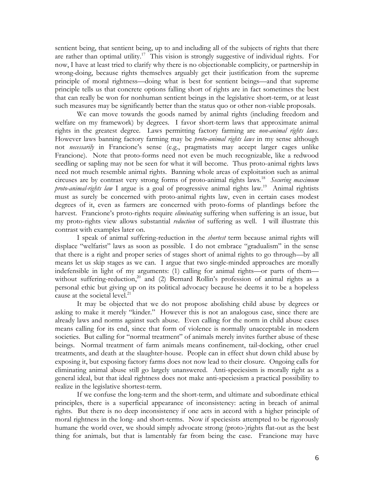sentient being, that sentient being, up to and including all of the subjects of rights that there are rather than optimal utility.17 This vision is strongly suggestive of individual rights. For now, I have at least tried to clarify why there is no objectionable complicity, or partnership in wrong-doing, because rights themselves arguably get their justification from the supreme principle of moral rightness—doing what is best for sentient beings—and that supreme principle tells us that concrete options falling short of rights are in fact sometimes the best that can really be won for nonhuman sentient beings in the legislative short-term, or at least such measures may be significantly better than the status quo or other non-viable proposals.

We can move towards the goods named by animal rights (including freedom and welfare on my framework) by degrees. I favor short-term laws that approximate animal rights in the greatest degree. Laws permitting factory farming are *non-animal rights laws*. However laws banning factory farming may be *proto-animal rights laws* in my sense although not *necessarily* in Francione's sense (e.g., pragmatists may accept larger cages unlike Francione). Note that proto-forms need not even be much recognizable, like a redwood seedling or sapling may not be seen for what it will become. Thus proto-animal rights laws need not much resemble animal rights. Banning whole areas of exploitation such as animal circuses are by contrast very strong forms of proto-animal rights laws.18 *Securing maximum proto-animal-rights law* I argue is a goal of progressive animal rights law.19 Animal rightists must as surely be concerned with proto-animal rights law, even in certain cases modest degrees of it, even as farmers are concerned with proto-forms of plantlings before the harvest. Francione's proto-rights require *eliminating* suffering when suffering is an issue, but my proto-rights view allows substantial *reduction* of suffering as well. I will illustrate this contrast with examples later on.

I speak of animal suffering-reduction in the *shortest* term because animal rights will displace "welfarist" laws as soon as possible. I do not embrace "gradualism" in the sense that there is a right and proper series of stages short of animal rights to go through—by all means let us skip stages as we can. I argue that two single-minded approaches are morally indefensible in light of my arguments: (1) calling for animal rights—or parts of them without suffering-reduction,<sup>20</sup> and (2) Bernard Rollin's profession of animal rights as a personal ethic but giving up on its political advocacy because he deems it to be a hopeless cause at the societal level.<sup>21</sup>

It may be objected that we do not propose abolishing child abuse by degrees or asking to make it merely "kinder." However this is not an analogous case, since there are already laws and norms against such abuse. Even calling for the norm in child abuse cases means calling for its end, since that form of violence is normally unacceptable in modern societies. But calling for "normal treatment" of animals merely invites further abuse of these beings. Normal treatment of farm animals means confinement, tail-docking, other cruel treatments, and death at the slaughter-house. People can in effect shut down child abuse by exposing it, but exposing factory farms does not now lead to their closure. Ongoing calls for eliminating animal abuse still go largely unanswered. Anti-speciesism is morally right as a general ideal, but that ideal rightness does not make anti-speciesism a practical possibility to realize in the legislative shortest-term.

If we confuse the long-term and the short-term, and ultimate and subordinate ethical principles, there is a superficial appearance of inconsistency: acting in breach of animal rights. But there is no deep inconsistency if one acts in accord with a higher principle of moral rightness in the long- and short-terms. Now if speciesists attempted to be rigorously humane the world over, we should simply advocate strong (proto-)rights flat-out as the best thing for animals, but that is lamentably far from being the case. Francione may have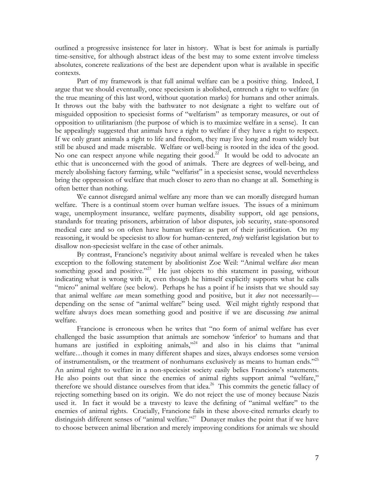outlined a progressive insistence for later in history. What is best for animals is partially time-sensitive, for although abstract ideas of the best may to some extent involve timeless absolutes, concrete realizations of the best are dependent upon what is available in specific contexts.

Part of my framework is that full animal welfare can be a positive thing. Indeed, I argue that we should eventually, once speciesism is abolished, entrench a right to welfare (in the true meaning of this last word, without quotation marks) for humans and other animals. It throws out the baby with the bathwater to not designate a right to welfare out of misguided opposition to speciesist forms of "welfarism" as temporary measures, or out of opposition to utilitarianism (the purpose of which is to maximize welfare in a sense). It can be appealingly suggested that animals have a right to welfare if they have a right to respect. If we only grant animals a right to life and freedom, they may live long and roam widely but still be abused and made miserable. Welfare or well-being is rooted in the idea of the good. No one can respect anyone while negating their good.<sup>22</sup> It would be odd to advocate an ethic that is unconcerned with the good of animals. There are degrees of well-being, and merely abolishing factory farming, while "welfarist" in a speciesist sense, would nevertheless bring the oppression of welfare that much closer to zero than no change at all. Something is often better than nothing.

We cannot disregard animal welfare any more than we can morally disregard human welfare. There is a continual storm over human welfare issues. The issues of a minimum wage, unemployment insurance, welfare payments, disability support, old age pensions, standards for treating prisoners, arbitration of labor disputes, job security, state-sponsored medical care and so on often have human welfare as part of their justification. On my reasoning, it would be speciesist to allow for human-centered, *truly* welfarist legislation but to disallow non-speciesist welfare in the case of other animals.

By contrast, Francione's negativity about animal welfare is revealed when he takes exception to the following statement by abolitionist Zoe Weil: "Animal welfare *does* mean something good and positive."<sup>23</sup> He just objects to this statement in passing, without indicating what is wrong with it, even though he himself explicitly supports what he calls "micro" animal welfare (see below). Perhaps he has a point if he insists that we should say that animal welfare *can* mean something good and positive, but it *does* not necessarily depending on the sense of "animal welfare" being used. Weil might rightly respond that welfare always does mean something good and positive if we are discussing *true* animal welfare.

Francione is erroneous when he writes that "no form of animal welfare has ever challenged the basic assumption that animals are somehow 'inferior' to humans and that humans are justified in exploiting animals,"<sup>24</sup> and also in his claims that "animal welfare…though it comes in many different shapes and sizes, always endorses some version of instrumentalism, or the treatment of nonhumans exclusively as means to human ends."<sup>25</sup> An animal right to welfare in a non-speciesist society easily belies Francione's statements. He also points out that since the enemies of animal rights support animal "welfare," therefore we should distance ourselves from that idea.<sup>26</sup> This commits the genetic fallacy of rejecting something based on its origin. We do not reject the use of money because Nazis used it. In fact it would be a travesty to leave the defining of "animal welfare" to the enemies of animal rights. Crucially, Francione fails in these above-cited remarks clearly to distinguish different senses of "animal welfare."<sup>27</sup> Dunayer makes the point that if we have to choose between animal liberation and merely improving conditions for animals we should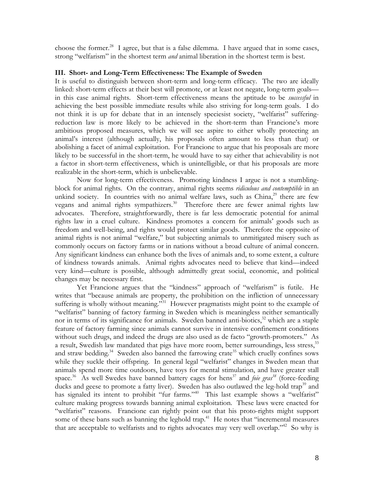choose the former.28 I agree, but that is a false dilemma. I have argued that in some cases, strong "welfarism" in the shortest term *and* animal liberation in the shortest term is best.

## **III. Short- and Long-Term Effectiveness: The Example of Sweden**

It is useful to distinguish between short-term and long-term efficacy. The two are ideally linked: short-term effects at their best will promote, or at least not negate, long-term goals in this case animal rights. Short-term effectiveness means the aptitude to be *successful* in achieving the best possible immediate results while also striving for long-term goals. I do not think it is up for debate that in an intensely speciesist society, "welfarist" sufferingreduction law is more likely to be achieved in the short-term than Francione's more ambitious proposed measures, which we will see aspire to either wholly protecting an animal's interest (although actually, his proposals often amount to less than that) or abolishing a facet of animal exploitation. For Francione to argue that his proposals are more likely to be successful in the short-term, he would have to say either that achievability is not a factor in short-term effectiveness, which is unintelligible, or that his proposals are more realizable in the short-term, which is unbelievable.

Now for long-term effectiveness. Promoting kindness I argue is not a stumblingblock for animal rights. On the contrary, animal rights seems *ridiculous and contemptible* in an unkind society. In countries with no animal welfare laws, such as  $China<sub>2</sub><sup>29</sup>$  there are few vegans and animal rights sympathizers.<sup>30</sup> Therefore there are fewer animal rights law advocates. Therefore, straightforwardly, there is far less democratic potential for animal rights law in a cruel culture. Kindness promotes a concern for animals' goods such as freedom and well-being, and rights would protect similar goods. Therefore the opposite of animal rights is not animal "welfare," but subjecting animals to unmitigated misery such as commonly occurs on factory farms or in nations without a broad culture of animal concern. Any significant kindness can enhance both the lives of animals and, to some extent, a culture of kindness towards animals. Animal rights advocates need to believe that kind—indeed very kind—culture is possible, although admittedly great social, economic, and political changes may be necessary first.

Yet Francione argues that the "kindness" approach of "welfarism" is futile. He writes that "because animals are property, the prohibition on the infliction of unnecessary suffering is wholly without meaning."<sup>31</sup> However pragmatists might point to the example of "welfarist" banning of factory farming in Sweden which is meaningless neither semantically nor in terms of its significance for animals. Sweden banned anti-biotics, $32$  which are a staple feature of factory farming since animals cannot survive in intensive confinement conditions without such drugs, and indeed the drugs are also used as de facto "growth-promoters." As a result, Swedish law mandated that pigs have more room, better surroundings, less stress,<sup>33</sup> and straw bedding.<sup>34</sup> Sweden also banned the farrowing crate<sup>35</sup> which cruelly confines sows while they suckle their offspring. In general legal "welfarist" changes in Sweden mean that animals spend more time outdoors, have toys for mental stimulation, and have greater stall space.<sup>36</sup> As well Swedes have banned battery cages for hens<sup>37</sup> and *foie gras*<sup>38</sup> (force-feeding ducks and geese to promote a fatty liver). Sweden has also outlawed the leg-hold trap<sup>39</sup> and has signaled its intent to prohibit "fur farms."<sup>40</sup> This last example shows a "welfarist" culture making progress towards banning animal exploitation. These laws were enacted for "welfarist" reasons. Francione can rightly point out that his proto-rights might support some of these bans such as banning the leghold trap.<sup>41</sup> He notes that "incremental measures" that are acceptable to welfarists and to rights advocates may very well overlap."<sup>42</sup> So why is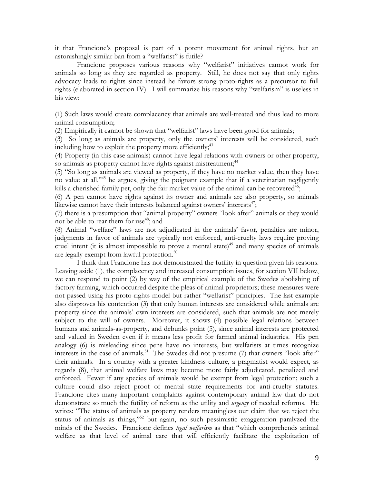it that Francione's proposal is part of a potent movement for animal rights, but an astonishingly similar ban from a "welfarist" is futile?

Francione proposes various reasons why "welfarist" initiatives cannot work for animals so long as they are regarded as property. Still, he does not say that only rights advocacy leads to rights since instead he favors strong proto-rights as a precursor to full rights (elaborated in section IV). I will summarize his reasons why "welfarism" is useless in his view:

(1) Such laws would create complacency that animals are well-treated and thus lead to more animal consumption;

(2) Empirically it cannot be shown that "welfarist" laws have been good for animals;

(3) So long as animals are property, only the owners' interests will be considered, such including how to exploit the property more efficiently;  $43$ 

(4) Property (in this case animals) cannot have legal relations with owners or other property, so animals as property cannot have rights against mistreatment;<sup>44</sup>

(5) "So long as animals are viewed as property, if they have no market value, then they have no value at all,"45 he argues, giving the poignant example that if a veterinarian negligently kills a cherished family pet, only the fair market value of the animal can be recovered<sup>46</sup>;

(6) A pen cannot have rights against its owner and animals are also property, so animals likewise cannot have their interests balanced against owners' interests $47$ ;

(7) there is a presumption that "animal property" owners "look after" animals or they would not be able to rear them for use<sup>48</sup>; and

(8) Animal "welfare" laws are not adjudicated in the animals' favor, penalties are minor, judgments in favor of animals are typically not enforced, anti-cruelty laws require proving cruel intent (it is almost impossible to prove a mental state)<sup>49</sup> and many species of animals are legally exempt from lawful protection.<sup>50</sup>

I think that Francione has not demonstrated the futility in question given his reasons. Leaving aside (1), the complacency and increased consumption issues, for section VII below, we can respond to point (2) by way of the empirical example of the Swedes abolishing of factory farming, which occurred despite the pleas of animal proprietors; these measures were not passed using his proto-rights model but rather "welfarist" principles. The last example also disproves his contention (3) that only human interests are considered while animals are property since the animals' own interests are considered, such that animals are not merely subject to the will of owners. Moreover, it shows (4) possible legal relations between humans and animals-as-property, and debunks point (5), since animal interests are protected and valued in Sweden even if it means less profit for farmed animal industries. His pen analogy (6) is misleading since pens have no interests, but welfarists at times recognize interests in the case of animals.<sup>51</sup> The Swedes did not presume  $(7)$  that owners "look after" their animals. In a country with a greater kindness culture, a pragmatist would expect, as regards (8), that animal welfare laws may become more fairly adjudicated, penalized and enforced. Fewer if any species of animals would be exempt from legal protection; such a culture could also reject proof of mental state requirements for anti-cruelty statutes. Francione cites many important complaints against contemporary animal law that do not demonstrate so much the futility of reform as the utility and *urgency* of needed reforms. He writes: "The status of animals as property renders meaningless our claim that we reject the status of animals as things,"52 but again, no such pessimistic exaggeration paralyzed the minds of the Swedes. Francione defines *legal welfarism* as that "which comprehends animal welfare as that level of animal care that will efficiently facilitate the exploitation of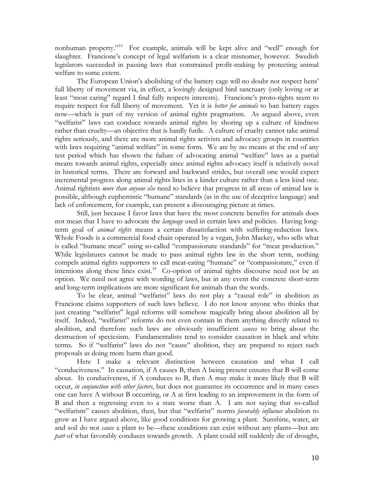nonhuman property."53 For example, animals will be kept alive and "well" enough for slaughter. Francione's concept of legal welfarism is a clear misnomer, however. Swedish legislators succeeded in passing laws that constrained profit-making by protecting animal welfare to some extent.

The European Union's abolishing of the battery cage will no doubt not respect hens' full liberty of movement via, in effect, a lovingly designed bird sanctuary (only loving or at least "most caring" regard I find fully respects interests). Francione's proto-rights seem to require respect for full liberty of movement. Yet it is *better for animals* to ban battery cages now—which is part of my version of animal rights pragmatism. As argued above, even "welfarist" laws can conduce towards animal rights by shoring up a culture of kindness rather than cruelty—an objective that is hardly futile. A culture of cruelty cannot take animal rights seriously, and there are more animal rights activists and advocacy groups in countries with laws requiring "animal welfare" in some form. We are by no means at the end of any test period which has shown the failure of advocating animal "welfare" laws as a partial means towards animal rights, especially since animal rights advocacy itself is relatively novel in historical terms. There are forward and backward strides, but overall one would expect incremental progress along animal rights lines in a kinder culture rather than a less kind one. Animal rightists *more than anyone else* need to believe that progress in all areas of animal law is possible, although euphemistic "humane" standards (as in the use of deceptive language) and lack of enforcement, for example, can present a discouraging picture at times.

Still, just because I favor laws that have the most concrete benefits for animals does not mean that I have to advocate the *language* used in certain laws and policies. Having longterm goal of *animal rights* means a certain dissatisfaction with suffering-reduction laws. Whole Foods is a commercial food chain operated by a vegan, John Mackey, who sells what is called "humane meat" using so-called "compassionate standards" for "meat production." While legislatures cannot be made to pass animal rights law in the short term, nothing compels animal rights supporters to call meat-eating "humane" or "compassionate," even if intentions along these lines exist.<sup>54</sup> Co-option of animal rights discourse need not be an option. We need not agree with wording of laws, but in any event the concrete short-term and long-term implications are more significant for animals than the words.

To be clear, animal "welfarist" laws do not play a "causal role" in abolition as Francione claims supporters of such laws believe. I do not know anyone who thinks that just creating "welfarist" legal reforms will somehow magically bring about abolition all by itself. Indeed, "welfarist" reforms do not even contain in them anything directly related to abolition, and therefore such laws are obviously insufficient *causes* to bring about the destruction of speciesism. Fundamentalists tend to consider causation in black and white terms. So if "welfarist" laws do not "cause" abolition, they are prepared to reject such proposals as doing more harm than good.

Here I make a relevant distinction between causation and what I call "conduciveness." In causation, if A causes B, then A being present ensures that B will come about. In conduciveness, if A conduces to B, then A may make it more likely that B will occur, *in conjunction with other factors*, but does not guarantee its occurrence and in many cases one can have A without B occurring, or A at first leading to an improvement in the form of B and then a regressing even to a state worse than A. I am not saying that so-called "welfarism" causes abolition, then, but that "welfarist" norms *favorably influence* abolition to grow as I have argued above, like good conditions for growing a plant. Sunshine, water, air and soil do not *cause* a plant to be—these conditions can exist without any plants—but are *part* of what favorably conduces towards growth. A plant could still suddenly die of drought,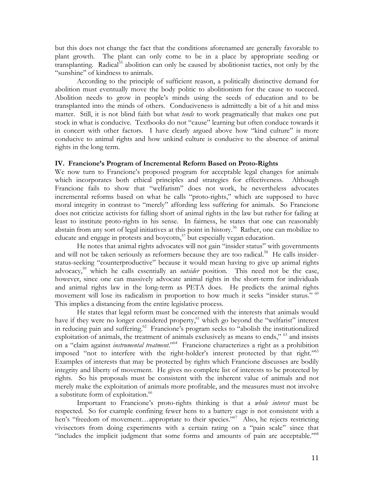but this does not change the fact that the conditions aforenamed are generally favorable to plant growth. The plant can only come to be in a place by appropriate seeding or transplanting. Radical<sup>55</sup> abolition can only be caused by abolitionist tactics, not only by the "sunshine" of kindness to animals.

According to the principle of sufficient reason, a politically distinctive demand for abolition must eventually move the body politic to abolitionism for the cause to succeed. Abolition needs to grow in people's minds using the seeds of education and to be transplanted into the minds of others. Conduciveness is admittedly a bit of a hit and miss matter. Still, it is not blind faith but what *tends* to work pragmatically that makes one put stock in what is conducive. Textbooks do not "cause" learning but often conduce towards it in concert with other factors. I have clearly argued above how "kind culture" is more conducive to animal rights and how unkind culture is conducive to the absence of animal rights in the long term.

## **IV. Francione's Program of Incremental Reform Based on Proto-Rights**

We now turn to Francione's proposed program for acceptable legal changes for animals which incorporates both ethical principles and strategies for effectiveness. Although Francione fails to show that "welfarism" does not work, he nevertheless advocates incremental reforms based on what he calls "proto-rights," which are supposed to have moral integrity in contrast to "merely" affording less suffering for animals. So Francione does not criticize activists for falling short of animal rights in the law but rather for failing at least to institute proto-rights in his sense. In fairness, he states that one can reasonably abstain from any sort of legal initiatives at this point in history.<sup>56</sup> Rather, one can mobilize to educate and engage in protests and boycotts, $57$  but especially vegan education.

He notes that animal rights advocates will not gain "insider status" with governments and will not be taken seriously as reformers because they are too radical.<sup>58</sup> He calls insiderstatus-seeking "counterproductive" because it would mean having to give up animal rights advocacy,<sup>59</sup> which he calls essentially an *outsider* position. This need not be the case, however, since one can massively advocate animal rights in the short-term for individuals and animal rights law in the long-term as PETA does. He predicts the animal rights movement will lose its radicalism in proportion to how much it seeks "insider status." <sup>60</sup> This implies a distancing from the entire legislative process.

He states that legal reform must be concerned with the interests that animals would have if they were no longer considered property,<sup>61</sup> which go beyond the "welfarist" interest in reducing pain and suffering.<sup>62</sup> Francione's program seeks to "abolish the institutionalized exploitation of animals, the treatment of animals exclusively as means to ends," <sup>63</sup> and insists on a "claim against *instrumental treatment*."64 Francione characterizes a right as a prohibition imposed "not to interfere with the right-holder's interest protected by that right."<sup>65</sup> Examples of interests that may be protected by rights which Francione discusses are bodily integrity and liberty of movement. He gives no complete list of interests to be protected by rights. So his proposals must be consistent with the inherent value of animals and not merely make the exploitation of animals more profitable, and the measures must not involve a substitute form of exploitation.<sup>66</sup>

 Important to Francione's proto-rights thinking is that a *whole interest* must be respected. So for example confining fewer hens to a battery cage is not consistent with a hen's "freedom of movement...appropriate to their species."<sup>67</sup> Also, he rejects restricting vivisectors from doing experiments with a certain rating on a "pain scale" since that "includes the implicit judgment that some forms and amounts of pain are acceptable."<sup>68</sup>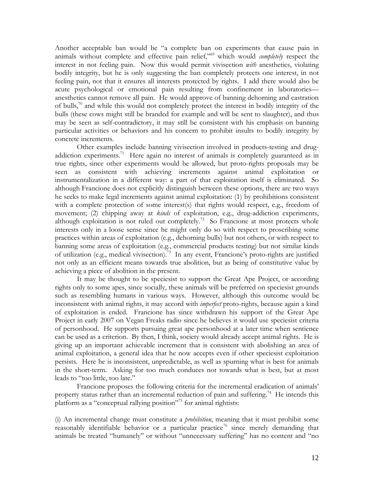Another acceptable ban would be "a complete ban on experiments that cause pain in animals without complete and effective pain relief,"69 which would *completely* respect the interest in not feeling pain. Now this would permit vivisection *with* anesthetics, violating bodily integrity, but he is only suggesting the ban completely protects one interest, in not feeling pain, not that it ensures all interests protected by rights. I add there would also be acute psychological or emotional pain resulting from confinement in laboratories anesthetics cannot remove all pain. He would approve of banning dehorning and castration of bulls, $\sqrt{10}$  and while this would not completely protect the interest in bodily integrity of the bulls (these cows might still be branded for example and will be sent to slaughter), and thus may be seen as self-contradictory, it may still be consistent with his emphasis on banning particular activities or behaviors and his concern to prohibit insults to bodily integrity by concrete increments.

Other examples include banning vivisection involved in products-testing and drugaddiction experiments.<sup>71</sup> Here again no interest of animals is completely guaranteed as in true rights, since other experiments would be allowed, but proto-rights proposals may be seen as consistent with achieving increments against animal exploitation or instrumentalization in a different way: a part of that exploitation itself is eliminated. So although Francione does not explicitly distinguish between these options, there are two ways he seeks to make legal increments against animal exploitation: (1) by prohibitions consistent with a complete protection of some interest(s) that rights would respect, e.g., freedom of movement; (2) chipping away at *kinds* of exploitation, e.g., drug-addiction experiments, although exploitation is not ruled out completely.<sup>72</sup> So Francione at most protects whole interests only in a loose sense since he might only do so with respect to proscribing some practices within areas of exploitation (e.g., dehorning bulls) but not others, or with respect to banning some areas of exploitation (e.g., commercial products testing) but not similar kinds of utilization (e.g., medical vivisection).<sup>73</sup> In any event, Francione's proto-rights are justified not only as an efficient means towards true abolition, but as being of constitutive value by achieving a piece of abolition in the present.

It may be thought to be speciesist to support the Great Ape Project, or according rights only to some apes, since socially, these animals will be preferred on speciesist grounds such as resembling humans in various ways. However, although this outcome would be inconsistent with animal rights, it may accord with *imperfect* proto-rights, because again a kind of exploitation is ended. Francione has since withdrawn his support of the Great Ape Project in early 2007 on Vegan Freaks radio since he believes it would use speciesist criteria of personhood. He supports pursuing great ape personhood at a later time when sentience can be used as a criterion. By then, I think, society would already accept animal rights. He is giving up an important achievable increment that is consistent with abolishing an area of animal exploitation, a general idea that he now accepts even if other speciesist exploitation persists. Here he is inconsistent, unpredictable, as well as spurning what is best for animals in the short-term. Asking for too much conduces not towards what is best, but at most leads to "too little, too late."

Francione proposes the following criteria for the incremental eradication of animals' property status rather than an incremental reduction of pain and suffering.<sup>74</sup> He intends this platform as a "conceptual rallying position"75 for animal rightists:

(i) An incremental change must constitute a *prohibition*, meaning that it must prohibit some reasonably identifiable behavior or a particular practice<sup>76</sup> since merely demanding that animals be treated "humanely" or without "unnecessary suffering" has no content and "no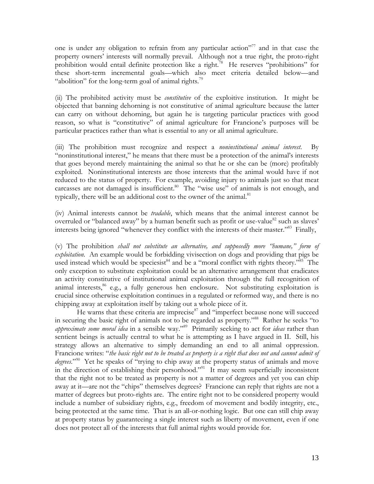one is under any obligation to refrain from any particular action"<sup>77</sup> and in that case the property owners' interests will normally prevail. Although not a true right, the proto-right prohibition would entail definite protection like a right.<sup>78</sup> He reserves "prohibitions" for these short-term incremental goals—which also meet criteria detailed below—and "abolition" for the long-term goal of animal rights. $^{79}$ 

(ii) The prohibited activity must be *constitutive* of the exploitive institution. It might be objected that banning dehorning is not constitutive of animal agriculture because the latter can carry on without dehorning, but again he is targeting particular practices with good reason, so what is "constitutive" of animal agriculture for Francione's purposes will be particular practices rather than what is essential to any or all animal agriculture.

(iii) The prohibition must recognize and respect a *noninstitutional animal interest*. By "noninstitutional interest," he means that there must be a protection of the animal's interests that goes beyond merely maintaining the animal so that he or she can be (more) profitably exploited. Noninstitutional interests are those interests that the animal would have if not reduced to the status of property. For example, avoiding injury to animals just so that meat carcasses are not damaged is insufficient. $80$  The "wise use" of animals is not enough, and typically, there will be an additional cost to the owner of the animal.<sup>81</sup>

(iv) Animal interests cannot be *tradable*, which means that the animal interest cannot be overruled or "balanced away" by a human benefit such as profit or use-value $^{82}$  such as slaves' interests being ignored "whenever they conflict with the interests of their master."83 Finally,

(v) The prohibition *shall not substitute an alternative, and supposedly more "humane," form of exploitation*. An example would be forbidding vivisection on dogs and providing that pigs be used instead which would be speciesist<sup>84</sup> and be a "moral conflict with rights theory."<sup>85</sup> The only exception to substitute exploitation could be an alternative arrangement that eradicates an activity constitutive of institutional animal exploitation through the full recognition of animal interests,  $66$  e.g., a fully generous hen enclosure. Not substituting exploitation is crucial since otherwise exploitation continues in a regulated or reformed way, and there is no chipping away at exploitation itself by taking out a whole piece of it.

He warns that these criteria are imprecise $87$  and "imperfect because none will succeed in securing the basic right of animals not to be regarded as property."<sup>88</sup> Rather he seeks "to *approximate some moral idea* in a sensible way."89 Primarily seeking to act for *ideas* rather than sentient beings is actually central to what he is attempting as I have argued in II. Still, his strategy allows an alternative to simply demanding an end to all animal oppression. Francione writes: "*the basic right not to be treated as property is a right that does not and cannot admit of*  degrees.<sup>"90</sup> Yet he speaks of "trying to chip away at the property status of animals and move in the direction of establishing their personhood."<sup>91</sup> It may seem superficially inconsistent that the right not to be treated as property is not a matter of degrees and yet you can chip away at it—are not the "chips" themselves degrees? Francione can reply that rights are not a matter of degrees but proto-rights are. The entire right not to be considered property would include a number of subsidiary rights, e.g., freedom of movement and bodily integrity, etc., being protected at the same time. That is an all-or-nothing logic. But one can still chip away at property status by guaranteeing a single interest such as liberty of movement, even if one does not protect all of the interests that full animal rights would provide for.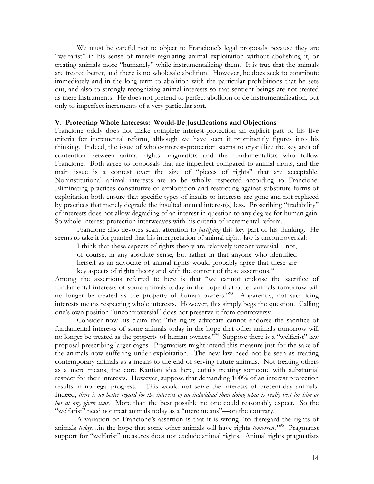We must be careful not to object to Francione's legal proposals because they are "welfarist" in his sense of merely regulating animal exploitation without abolishing it, or treating animals more "humanely" while instrumentalizing them. It is true that the animals are treated better, and there is no wholesale abolition. However, he does seek to contribute immediately and in the long-term to abolition with the particular prohibitions that he sets out, and also to strongly recognizing animal interests so that sentient beings are not treated as mere instruments. He does not pretend to perfect abolition or de-instrumentalization, but only to imperfect increments of a very particular sort.

#### **V. Protecting Whole Interests: Would-Be Justifications and Objections**

Francione oddly does not make complete interest-protection an explicit part of his five criteria for incremental reform, although we have seen it prominently figures into his thinking. Indeed, the issue of whole-interest-protection seems to crystallize the key area of contention between animal rights pragmatists and the fundamentalists who follow Francione. Both agree to proposals that are imperfect compared to animal rights, and the main issue is a contest over the size of "pieces of rights" that are acceptable. Noninstitutional animal interests are to be wholly respected according to Francione. Eliminating practices constitutive of exploitation and restricting against substitute forms of exploitation both ensure that specific types of insults to interests are gone and not replaced by practices that merely degrade the insulted animal interest(s) less. Proscribing "tradability" of interests does not allow degrading of an interest in question to any degree for human gain. So whole-interest-protection interweaves with his criteria of incremental reform.

Francione also devotes scant attention to *justifying* this key part of his thinking. He seems to take it for granted that his interpretation of animal rights law is uncontroversial:

I think that these aspects of rights theory are relatively uncontroversial—not, of course, in any absolute sense, but rather in that anyone who identified herself as an advocate of animal rights would probably agree that these are key aspects of rights theory and with the content of these assertions.<sup>92</sup>

Among the assertions referred to here is that "we cannot endorse the sacrifice of fundamental interests of some animals today in the hope that other animals tomorrow will no longer be treated as the property of human owners."93 Apparently, not sacrificing interests means respecting whole interests. However, this simply begs the question. Calling one's own position "uncontroversial" does not preserve it from controversy.

Consider now his claim that "the rights advocate cannot endorse the sacrifice of fundamental interests of some animals today in the hope that other animals tomorrow will no longer be treated as the property of human owners."<sup>94</sup> Suppose there is a "welfarist" law proposal prescribing larger cages. Pragmatists might intend this measure just for the sake of the animals now suffering under exploitation. The new law need not be seen as treating contemporary animals as a means to the end of serving future animals. Not treating others as a mere means, the core Kantian idea here, entails treating someone with substantial respect for their interests. However, suppose that demanding 100% of an interest protection results in no legal progress. This would not serve the interests of present-day animals. Indeed, *there is no better regard for the interests of an individual than doing what is really best for him or her at any given time.* More than the best possible no one could reasonably expect. So the "welfarist" need not treat animals today as a "mere means"—on the contrary.

A variation on Francione's assertion is that it is wrong "to disregard the rights of animals *today*…in the hope that some other animals will have rights *tomorrow*."95 Pragmatist support for "welfarist" measures does not exclude animal rights. Animal rights pragmatists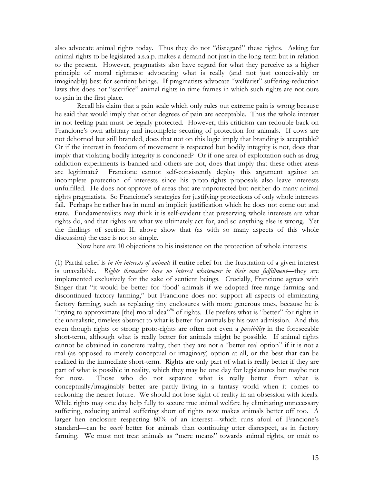also advocate animal rights today. Thus they do not "disregard" these rights. Asking for animal rights to be legislated a.s.a.p. makes a demand not just in the long-term but in relation to the present. However, pragmatists also have regard for what they perceive as a higher principle of moral rightness: advocating what is really (and not just conceivably or imaginably) best for sentient beings. If pragmatists advocate "welfarist" suffering-reduction laws this does not "sacrifice" animal rights in time frames in which such rights are not ours to gain in the first place.

Recall his claim that a pain scale which only rules out extreme pain is wrong because he said that would imply that other degrees of pain are acceptable. Thus the whole interest in not feeling pain must be legally protected. However, this criticism can redouble back on Francione's own arbitrary and incomplete securing of protection for animals. If cows are not dehorned but still branded, does that not on this logic imply that branding is acceptable? Or if the interest in freedom of movement is respected but bodily integrity is not, does that imply that violating bodily integrity is condoned? Or if one area of exploitation such as drug addiction experiments is banned and others are not, does that imply that these other areas are legitimate? Francione cannot self-consistently deploy this argument against an incomplete protection of interests since his proto-rights proposals also leave interests unfulfilled. He does not approve of areas that are unprotected but neither do many animal rights pragmatists. So Francione's strategies for justifying protections of only whole interests fail. Perhaps he rather has in mind an implicit justification which he does not come out and state. Fundamentalists may think it is self-evident that preserving whole interests are what rights do, and that rights are what we ultimately act for, and so anything else is wrong. Yet the findings of section II. above show that (as with so many aspects of this whole discussion) the case is not so simple.

Now here are 10 objections to his insistence on the protection of whole interests:

(1) Partial relief is *in the interests of animals* if entire relief for the frustration of a given interest is unavailable. Rights themselves have no interest whatsoever in their own fulfillment—they are implemented exclusively for the sake of sentient beings. Crucially, Francione agrees with Singer that "it would be better for 'food' animals if we adopted free-range farming and discontinued factory farming," but Francione does not support all aspects of eliminating factory farming, such as replacing tiny enclosures with more generous ones, because he is "trying to approximate [the] moral idea"<sup>66</sup> of rights. He prefers what is "better" for rights in the unrealistic, timeless abstract to what is better for animals by his own admission. And this even though rights or strong proto-rights are often not even a *possibility* in the foreseeable short-term, although what is really better for animals might be possible. If animal rights cannot be obtained in concrete reality, then they are not a "better real option" if it is not a real (as opposed to merely conceptual or imaginary) option at all, or the best that can be realized in the immediate short-term. Rights are only part of what is really better if they are part of what is possible in reality, which they may be one day for legislatures but maybe not for now. Those who do not separate what is really better from what is conceptually/imaginably better are partly living in a fantasy world when it comes to reckoning the nearer future. We should not lose sight of reality in an obsession with ideals. While rights may one day help fully to secure true animal welfare by eliminating unnecessary suffering, reducing animal suffering short of rights now makes animals better off too. A larger hen enclosure respecting 80% of an interest—which runs afoul of Francione's standard—can be *much* better for animals than continuing utter disrespect, as in factory farming. We must not treat animals as "mere means" towards animal rights, or omit to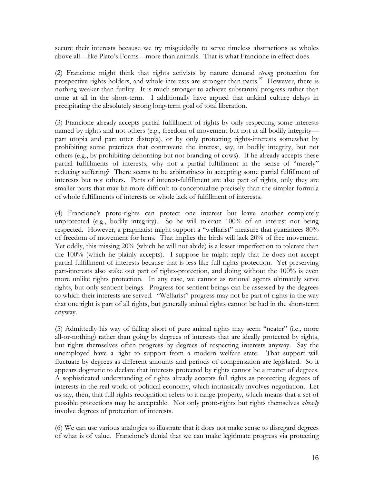secure their interests because we try misguidedly to serve timeless abstractions as wholes above all—like Plato's Forms—more than animals. That is what Francione in effect does.

(2) Francione might think that rights activists by nature demand *strong* protection for prospective rights-holders, and whole interests are stronger than parts. $\frac{97}{100}$  However, there is nothing weaker than futility. It is much stronger to achieve substantial progress rather than none at all in the short-term. I additionally have argued that unkind culture delays in precipitating the absolutely strong long-term goal of total liberation.

(3) Francione already accepts partial fulfillment of rights by only respecting some interests named by rights and not others (e.g., freedom of movement but not at all bodily integrity part utopia and part utter distopia), or by only protecting rights-interests somewhat by prohibiting some practices that contravene the interest, say, in bodily integrity, but not others (e.g., by prohibiting dehorning but not branding of cows). If he already accepts these partial fulfillments of interests, why not a partial fulfillment in the sense of "merely" reducing suffering? There seems to be arbitrariness in accepting some partial fulfillment of interests but not others. Parts of interest-fulfillment are also part of rights, only they are smaller parts that may be more difficult to conceptualize precisely than the simpler formula of whole fulfillments of interests or whole lack of fulfillment of interests.

(4) Francione's proto-rights can protect one interest but leave another completely unprotected (e.g., bodily integrity). So he will tolerate 100% of an interest not being respected. However, a pragmatist might support a "welfarist" measure that guarantees 80% of freedom of movement for hens. That implies the birds will lack 20% of free movement. Yet oddly, this missing 20% (which he will not abide) is a lesser imperfection to tolerate than the 100% (which he plainly accepts). I suppose he might reply that he does not accept partial fulfillment of interests because that is less like full rights-protection. Yet preserving part-interests also stake out part of rights-protection, and doing without the 100% is even more unlike rights protection. In any case, we cannot as rational agents ultimately serve rights, but only sentient beings. Progress for sentient beings can be assessed by the degrees to which their interests are served. "Welfarist" progress may not be part of rights in the way that one right is part of all rights, but generally animal rights cannot be had in the short-term anyway.

(5) Admittedly his way of falling short of pure animal rights may seem "neater" (i.e., more all-or-nothing) rather than going by degrees of interests that are ideally protected by rights, but rights themselves often progress by degrees of respecting interests anyway. Say the unemployed have a right to support from a modern welfare state. That support will fluctuate by degrees as different amounts and periods of compensation are legislated. So it appears dogmatic to declare that interests protected by rights cannot be a matter of degrees. A sophisticated understanding of rights already accepts full rights as protecting degrees of interests in the real world of political economy, which intrinsically involves negotiation. Let us say, then, that full rights-recognition refers to a range-property, which means that a set of possible protections may be acceptable. Not only proto-rights but rights themselves *already* involve degrees of protection of interests.

(6) We can use various analogies to illustrate that it does not make sense to disregard degrees of what is of value. Francione's denial that we can make legitimate progress via protecting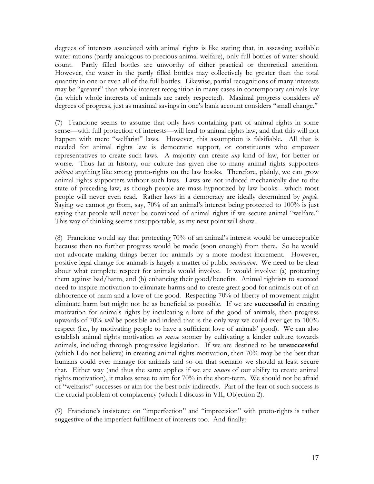degrees of interests associated with animal rights is like stating that, in assessing available water rations (partly analogous to precious animal welfare), only full bottles of water should count. Partly filled bottles are unworthy of either practical or theoretical attention. However, the water in the partly filled bottles may collectively be greater than the total quantity in one or even all of the full bottles. Likewise, partial recognitions of many interests may be "greater" than whole interest recognition in many cases in contemporary animals law (in which whole interests of animals are rarely respected). Maximal progress considers *all* degrees of progress, just as maximal savings in one's bank account considers "small change."

(7) Francione seems to assume that only laws containing part of animal rights in some sense—with full protection of interests—will lead to animal rights law, and that this will not happen with mere "welfarist" laws. However, this assumption is falsifiable. All that is needed for animal rights law is democratic support, or constituents who empower representatives to create such laws. A majority can create *any* kind of law, for better or worse. Thus far in history, our culture has given rise to many animal rights supporters *without* anything like strong proto-rights on the law books. Therefore, plainly, we can grow animal rights supporters without such laws. Laws are not induced mechanically due to the state of preceding law, as though people are mass-hypnotized by law books—which most people will never even read. Rather laws in a democracy are ideally determined by *people*. Saying we cannot go from, say, 70% of an animal's interest being protected to 100% is just saying that people will never be convinced of animal rights if we secure animal "welfare." This way of thinking seems unsupportable, as my next point will show.

(8) Francione would say that protecting 70% of an animal's interest would be unacceptable because then no further progress would be made (soon enough) from there. So he would not advocate making things better for animals by a more modest increment. However, positive legal change for animals is largely a matter of public *motivation*. We need to be clear about what complete respect for animals would involve. It would involve: (a) protecting them against bad/harm, and (b) enhancing their good/benefits. Animal rightists to succeed need to inspire motivation to eliminate harms and to create great good for animals out of an abhorrence of harm and a love of the good. Respecting 70% of liberty of movement might eliminate harm but might not be as beneficial as possible. If we are **successful** in creating motivation for animals rights by inculcating a love of the good of animals, then progress upwards of 70% *will* be possible and indeed that is the only way we could ever get to 100% respect (i.e., by motivating people to have a sufficient love of animals' good). We can also establish animal rights motivation *en masse* sooner by cultivating a kinder culture towards animals, including through progressive legislation. If we are destined to be **unsuccessful** (which I do not believe) in creating animal rights motivation, then 70% may be the best that humans could ever manage for animals and so on that scenario we should at least secure that. Either way (and thus the same applies if we are *unsure* of our ability to create animal rights motivation), it makes sense to aim for 70% in the short-term. We should not be afraid of "welfarist" successes or aim for the best only indirectly. Part of the fear of such success is the crucial problem of complacency (which I discuss in VII, Objection 2).

(9) Francione's insistence on "imperfection" and "imprecision" with proto-rights is rather suggestive of the imperfect fulfillment of interests too. And finally: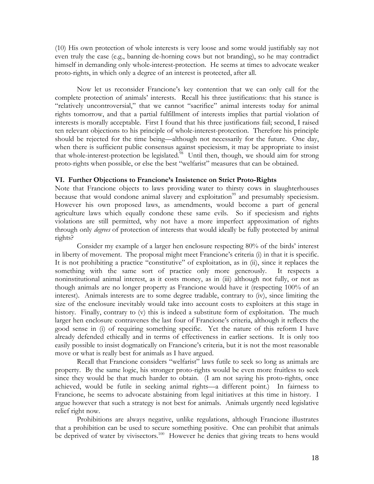(10) His own protection of whole interests is very loose and some would justifiably say not even truly the case (e.g., banning de-horning cows but not branding), so he may contradict himself in demanding only whole-interest-protection. He seems at times to advocate weaker proto-rights, in which only a degree of an interest is protected, after all.

Now let us reconsider Francione's key contention that we can only call for the complete protection of animals' interests. Recall his three justifications: that his stance is "relatively uncontroversial," that we cannot "sacrifice" animal interests today for animal rights tomorrow, and that a partial fulfillment of interests implies that partial violation of interests is morally acceptable. First I found that his three justifications fail; second, I raised ten relevant objections to his principle of whole-interest-protection. Therefore his principle should be rejected for the time being—although not necessarily for the future. One day, when there is sufficient public consensus against speciesism, it may be appropriate to insist that whole-interest-protection be legislated.<sup>98</sup> Until then, though, we should aim for strong proto-rights when possible, or else the best "welfarist" measures that can be obtained.

#### **VI. Further Objections to Francione's Insistence on Strict Proto-Rights**

Note that Francione objects to laws providing water to thirsty cows in slaughterhouses because that would condone animal slavery and exploitation<sup>99</sup> and presumably speciesism. However his own proposed laws, as amendments, would become a part of general agriculture laws which equally condone these same evils. So if speciesism and rights violations are still permitted, why not have a more imperfect approximation of rights through only *degrees* of protection of interests that would ideally be fully protected by animal rights?

Consider my example of a larger hen enclosure respecting 80% of the birds' interest in liberty of movement. The proposal might meet Francione's criteria (i) in that it is specific. It is not prohibiting a practice "constitutive" of exploitation, as in (ii), since it replaces the something with the same sort of practice only more generously. It respects a noninstitutional animal interest, as it costs money, as in (iii) although not fully, or not as though animals are no longer property as Francione would have it (respecting 100% of an interest). Animals interests are to some degree tradable, contrary to (iv), since limiting the size of the enclosure inevitably would take into account costs to exploiters at this stage in history. Finally, contrary to (v) this is indeed a substitute form of exploitation. The much larger hen enclosure contravenes the last four of Francione's criteria, although it reflects the good sense in (i) of requiring something specific. Yet the nature of this reform I have already defended ethically and in terms of effectiveness in earlier sections. It is only too easily possible to insist dogmatically on Francione's criteria, but it is not the most reasonable move or what is really best for animals as I have argued.

Recall that Francione considers "welfarist" laws futile to seek so long as animals are property. By the same logic, his stronger proto-rights would be even more fruitless to seek since they would be that much harder to obtain. (I am not saying his proto-rights, once achieved, would be futile in seeking animal rights—a different point.) In fairness to Francione, he seems to advocate abstaining from legal initiatives at this time in history. I argue however that such a strategy is not best for animals. Animals urgently need legislative relief right now.

Prohibitions are always negative, unlike regulations, although Francione illustrates that a prohibition can be used to secure something positive. One can prohibit that animals be deprived of water by vivisectors.<sup>100</sup> However he denies that giving treats to hens would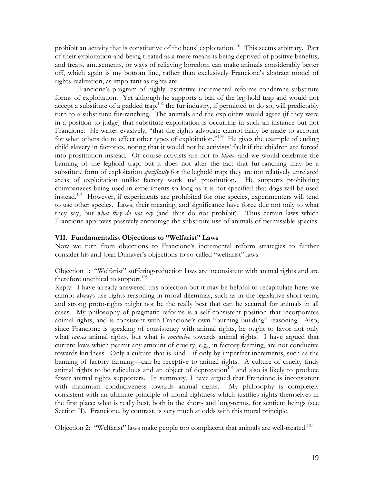prohibit an activity that is constitutive of the hens' exploitation.<sup>101</sup> This seems arbitrary. Part of their exploitation and being treated as a mere means is being deprived of positive benefits, and treats, amusements, or ways of relieving boredom can make animals considerably better off, which again is my bottom line, rather than exclusively Francione's abstract model of rights-realization, as important as rights are.

Francione's program of highly restrictive incremental reforms condemns substitute forms of exploitation. Yet although he supports a ban of the leg-hold trap and would not accept a substitute of a padded trap,<sup>102</sup> the fur industry, if permitted to do so, will predictably turn to a substitute: fur-ranching. The animals and the exploiters would agree (if they were in a position to judge) that substitute exploitation is occurring in such an instance but not Francione. He writes evasively, "that the rights advocate cannot fairly be made to account for what others do to effect other types of exploitation."103 He gives the example of ending child slavery in factories, noting that it would not be activists' fault if the children are forced into prostitution instead. Of course activists are not to *blame* and we would celebrate the banning of the leghold trap, but it does not alter the fact that fur-ranching may be a substitute form of exploitation *specifically* for the leghold trap: they are not relatively unrelated areas of exploitation unlike factory work and prostitution. He supports prohibiting chimpanzees being used in experiments so long as it is not specified that dogs will be used instead.104 However, if experiments are prohibited for one species, experimenters will tend to use other species. Laws, their meaning, and significance have force due not only to what they say, but *what they do not say* (and thus do not prohibit). Thus certain laws which Francione approves passively encourage the substitute use of animals of permissible species.

# **VII. Fundamentalist Objections to "Welfarist" Laws**

Now we turn from objections to Francione's incremental reform strategies to further consider his and Joan Dunayer's objections to so-called "welfarist" laws.

Objection 1: "Welfarist" suffering-reduction laws are inconsistent with animal rights and are therefore unethical to support.<sup>105</sup>

Reply:I have already answered this objection but it may be helpful to recapitulate here: we cannot always use rights reasoning in moral dilemmas, such as in the legislative short-term, and strong proto-rights might not be the really best that can be secured for animals in all cases. My philosophy of pragmatic reforms is a self-consistent position that incorporates animal rights, and is consistent with Francione's own "burning building" reasoning. Also, since Francione is speaking of consistency with animal rights, he ought to favor not only what *causes* animal rights, but what is *conducive* towards animal rights. I have argued that current laws which permit any amount of cruelty, e.g., in factory farming, are not conducive towards kindness. Only a culture that is kind—if only by imperfect increments, such as the banning of factory farming—can be receptive to animal rights. A culture of cruelty finds animal rights to be ridiculous and an object of deprecation<sup>106</sup> and also is likely to produce fewer animal rights supporters. In summary, I have argued that Francione is inconsistent with maximum conduciveness towards animal rights. My philosophy is completely consistent with an ultimate principle of moral rightness which justifies rights themselves in the first place: what is really best, both in the short- and long-terms, for sentient beings (see Section II). Francione, by contrast, is very much at odds with this moral principle.

Objection 2: "Welfarist" laws make people too complacent that animals are well-treated.<sup>107</sup>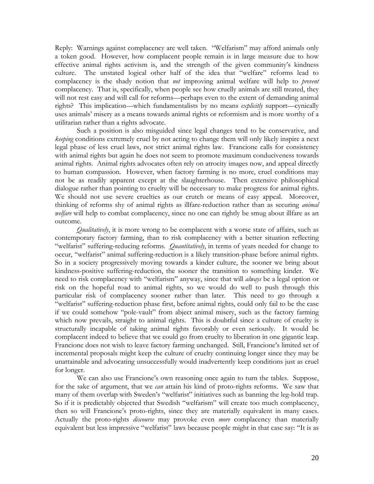Reply: Warnings against complacency are well taken. "Welfarism" may afford animals only a token good. However, how complacent people remain is in large measure due to how effective animal rights activism is, and the strength of the given community's kindness culture. The unstated logical other half of the idea that "welfare" reforms lead to complacency is the shady notion that *not* improving animal welfare will help to *prevent* complacency. That is, specifically, when people see how cruelly animals are still treated, they will not rest easy and will call for reforms—perhaps even to the extent of demanding animal rights? This implication—which fundamentalists by no means *explicitly* support—cynically uses animals' misery as a means towards animal rights or reformism and is more worthy of a utilitarian rather than a rights advocate.

Such a position is also misguided since legal changes tend to be conservative, and *keeping* conditions extremely cruel by not acting to change them will only likely inspire a next legal phase of less cruel laws, not strict animal rights law. Francione calls for consistency with animal rights but again he does not seem to promote maximum conduciveness towards animal rights. Animal rights advocates often rely on atrocity images now, and appeal directly to human compassion. However, when factory farming is no more, cruel conditions may not be as readily apparent except at the slaughterhouse. Then extensive philosophical dialogue rather than pointing to cruelty will be necessary to make progress for animal rights. We should not use severe cruelties as our crutch or means of easy appeal. Moreover, thinking of reforms shy of animal rights as illfare-reduction rather than as securing *animal welfare* will help to combat complacency, since no one can rightly be smug about illfare as an outcome.

*Qualitatively*, it is more wrong to be complacent with a worse state of affairs, such as contemporary factory farming, than to risk complacency with a better situation reflecting "welfarist" suffering-reducing reforms. *Quantitatively*, in terms of years needed for change to occur, "welfarist" animal suffering-reduction is a likely transition-phase before animal rights. So in a society progressively moving towards a kinder culture, the sooner we bring about kindness-positive suffering-reduction, the sooner the transition to something kinder. We need to risk complacency with "welfarism" anyway, since that will *always* be a legal option or risk on the hopeful road to animal rights, so we would do well to push through this particular risk of complacency sooner rather than later. This need to go through a "welfarist" suffering-reduction phase first, before animal rights, could only fail to be the case if we could somehow "pole-vault" from abject animal misery, such as the factory farming which now prevails, straight to animal rights. This is doubtful since a culture of cruelty is structurally incapable of taking animal rights favorably or even seriously. It would be complacent indeed to believe that we could go from cruelty to liberation in one gigantic leap. Francione does not wish to leave factory farming unchanged. Still, Francione's limited set of incremental proposals might keep the culture of cruelty continuing longer since they may be unattainable and advocating unsuccessfully would inadvertently keep conditions just as cruel for longer.

We can also use Francione's own reasoning once again to turn the tables. Suppose, for the sake of argument, that we *can* attain his kind of proto-rights reforms. We saw that many of them overlap with Sweden's "welfarist" initiatives such as banning the leg-hold trap. So if it is predictably objected that Swedish "welfarism" will create too much complacency, then so will Francione's proto-rights, since they are materially equivalent in many cases. Actually the proto-rights *discourse* may provoke even *more* complacency than materially equivalent but less impressive "welfarist" laws because people might in that case say: "It is as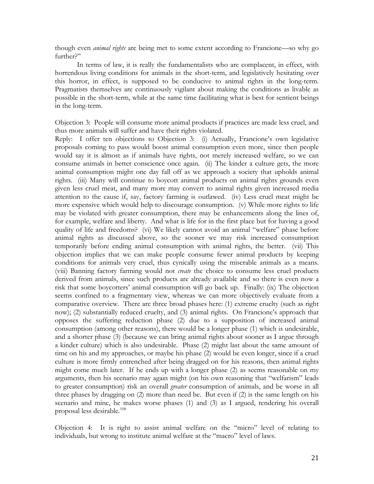though even *animal rights* are being met to some extent according to Francione—so why go further?"

In terms of law, it is really the fundamentalists who are complacent, in effect, with horrendous living conditions for animals in the short-term, and legislatively hesitating over this horror, in effect, is supposed to be conducive to animal rights in the long-term. Pragmatists themselves are continuously vigilant about making the conditions as livable as possible in the short-term, while at the same time facilitating what is best for sentient beings in the long-term.

Objection 3: People will consume more animal products if practices are made less cruel, and thus more animals will suffer and have their rights violated.

Reply: I offer ten objections to Objection 3: (i) Actually, Francione's own legislative proposals coming to pass would boost animal consumption even more, since then people would say it is almost as if animals have rights, not merely increased welfare, so we can consume animals in better conscience once again. (ii) The kinder a culture gets, the more animal consumption might one day fall off as we approach a society that upholds animal rights. (iii) Many will continue to boycott animal products on animal rights grounds even given less cruel meat, and many more may convert to animal rights given increased media attention to the cause if, say, factory farming is outlawed. (iv) Less cruel meat might be more expensive which would help to discourage consumption. (v) While more rights to life may be violated with greater consumption, there may be enhancements along the lines of, for example, welfare and liberty. And what is life for in the first place but for having a good quality of life and freedoms? (vi) We likely cannot avoid an animal "welfare" phase before animal rights as discussed above, so the sooner we may risk increased consumption temporarily before ending animal consumption with animal rights, the better. (vii) This objection implies that we can make people consume fewer animal products by keeping conditions for animals very cruel, thus cynically using the miserable animals as a means. (viii) Banning factory farming would not *create* the choice to consume less cruel products derived from animals, since such products are already available and so there is even now a risk that some boycotters' animal consumption will go back up. Finally: (ix) The objection seems confined to a fragmentary view, whereas we can more objectively evaluate from a comparative overview. There are three broad phases here: (1) extreme cruelty (such as right now); (2) substantially reduced cruelty, and (3) animal rights. On Francione's approach that opposes the suffering reduction phase (2) due to a supposition of increased animal consumption (among other reasons), there would be a longer phase (1) which is undesirable, and a shorter phase (3) (because we can bring animal rights about sooner as I argue through a kinder culture) which is also undesirable. Phase (2) might last about the same amount of time on his and my approaches, or maybe his phase (2) would be even longer, since if a cruel culture is more firmly entrenched after being dragged on for his reasons, then animal rights might come much later. If he ends up with a longer phase (2) as seems reasonable on my arguments, then his scenario may again might (on his own reasoning that "welfarism" leads to greater consumption) risk an overall *greater* consumption of animals, and be worse in all three phases by dragging on (2) more than need be. But even if (2) is the same length on his scenario and mine, he makes worse phases (1) and (3) as I argued, rendering his overall proposal less desirable.108

Objection 4: It is right to assist animal welfare on the "micro" level of relating to individuals, but wrong to institute animal welfare at the "macro" level of laws.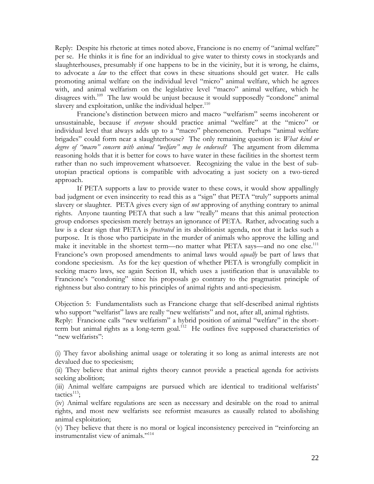Reply: Despite his rhetoric at times noted above, Francione is no enemy of "animal welfare" per se. He thinks it is fine for an individual to give water to thirsty cows in stockyards and slaughterhouses, presumably if one happens to be in the vicinity, but it is wrong, he claims, to advocate a *law* to the effect that cows in these situations should get water. He calls promoting animal welfare on the individual level "micro" animal welfare, which he agrees with, and animal welfarism on the legislative level "macro" animal welfare, which he disagrees with.<sup>109</sup> The law would be unjust because it would supposedly "condone" animal slavery and exploitation, unlike the individual helper.<sup>110</sup>

Francione's distinction between micro and macro "welfarism" seems incoherent or unsustainable, because if *everyone* should practice animal "welfare" at the "micro" or individual level that always adds up to a "macro" phenomenon. Perhaps "animal welfare brigades" could form near a slaughterhouse? The only remaining question is: *What kind or degree of "macro" concern with animal "welfare" may be endorsed?* The argument from dilemma reasoning holds that it is better for cows to have water in these facilities in the shortest term rather than no such improvement whatsoever. Recognizing the value in the best of subutopian practical options is compatible with advocating a just society on a two-tiered approach.

If PETA supports a law to provide water to these cows, it would show appallingly bad judgment or even insincerity to read this as a "sign" that PETA "truly" supports animal slavery or slaughter. PETA gives every sign of *not* approving of anything contrary to animal rights. Anyone taunting PETA that such a law "really" means that this animal protection group endorses speciesism merely betrays an ignorance of PETA. Rather, advocating such a law is a clear sign that PETA is *frustrated* in its abolitionist agenda, not that it lacks such a purpose. It is those who participate in the murder of animals who approve the killing and make it inevitable in the shortest term—no matter what PETA says—and no one else.<sup>111</sup> Francione's own proposed amendments to animal laws would *equally* be part of laws that condone speciesism. As for the key question of whether PETA is wrongfully complicit in seeking macro laws, see again Section II, which uses a justification that is unavailable to Francione's "condoning" since his proposals go contrary to the pragmatist principle of rightness but also contrary to his principles of animal rights and anti-speciesism.

Objection 5: Fundamentalists such as Francione charge that self-described animal rightists who support "welfarist" laws are really "new welfarists" and not, after all, animal rightists. Reply:Francione calls "new welfarism" a hybrid position of animal "welfare" in the shortterm but animal rights as a long-term goal.<sup>112</sup> He outlines five supposed characteristics of "new welfarists":

(i) They favor abolishing animal usage or tolerating it so long as animal interests are not devalued due to speciesism;

(ii) They believe that animal rights theory cannot provide a practical agenda for activists seeking abolition;

(iii) Animal welfare campaigns are pursued which are identical to traditional welfarists'  $t$ actics<sup>113</sup>;

(iv) Animal welfare regulations are seen as necessary and desirable on the road to animal rights, and most new welfarists see reformist measures as causally related to abolishing animal exploitation;

(v) They believe that there is no moral or logical inconsistency perceived in "reinforcing an instrumentalist view of animals."114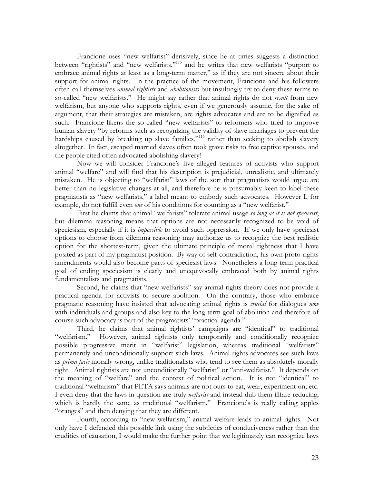Francione uses "new welfarist" derisively, since he at times suggests a distinction between "rightists" and "new welfarists,"115 and he writes that new welfarists "purport to embrace animal rights at least as a long-term matter," as if they are not sincere about their support for animal rights. In the practice of the movement, Francione and his followers often call themselves *animal rightists* and *abolitionists* but insultingly try to deny these terms to so-called "new welfarists." He might say rather that animal rights do not *result* from new welfarism, but anyone who supports rights, even if we generously assume, for the sake of argument, that their strategies are mistaken, are rights advocates and are to be dignified as such. Francione likens the so-called "new welfarists" to reformers who tried to improve human slavery "by reforms such as recognizing the validity of slave marriages to prevent the hardships caused by breaking up slave families,"<sup>116</sup> rather than seeking to abolish slavery altogether. In fact, escaped married slaves often took grave risks to free captive spouses, and the people cited often advocated abolishing slavery!

Now we will consider Francione's five alleged features of activists who support animal "welfare" and will find that his description is prejudicial, unrealistic, and ultimately mistaken. He is objecting to "welfarist" laws of the sort that pragmatists would argue are better than no legislative changes at all, and therefore he is presumably keen to label these pragmatists as "new welfarists," a label meant to embody such advocates. However I, for example, do not fulfill even *one* of his conditions for counting as a "new welfarist."

First he claims that animal "welfarists" tolerate animal usage *so long as it is not speciesist*, but dilemma reasoning means that options are not necessarily recognized to be void of speciesism, especially if it is *impossible* to avoid such oppression. If we only have speciesist options to choose from dilemma reasoning may authorize us to recognize the best realistic option for the shortest-term, given the ultimate principle of moral rightness that I have posited as part of my pragmatist position. By way of self-contradiction, his own proto-rights amendments would also become parts of speciesist laws. Nonetheless a long-term practical goal of ending speciesism is clearly and unequivocally embraced both by animal rights fundamentalists and pragmatists.

Second, he claims that "new welfarists" say animal rights theory does not provide a practical agenda for activists to secure abolition. On the contrary, those who embrace pragmatic reasoning have insisted that advocating animal rights is *crucial* for dialogues *now* with individuals and groups and also key to the long-term goal of abolition and therefore of course such advocacy is part of the pragmatists' "practical agenda."

Third, he claims that animal rightists' campaigns are "identical" to traditional "welfarism." However, animal rightists only temporarily and conditionally recognize possible progressive merit in "welfarist" legislation, whereas traditional "welfarists" permanently and unconditionally support such laws. Animal rights advocates see such laws as *prima facie* morally wrong, unlike traditionalists who tend to see them as absolutely morally right. Animal rightists are not unconditionally "welfarist" or "anti-welfarist." It depends on the meaning of "welfare" and the context of political action. It is not "identical" to traditional "welfarism" that PETA says animals are not ours to eat, wear, experiment on, etc. I even deny that the laws in question are truly *welfarist* and instead dub them illfare-reducing, which is hardly the same as traditional "welfarism." Francione's is really calling apples "oranges" and then denying that they are different.

Fourth, according to "new welfarism," animal welfare leads to animal rights. Not only have I defended this possible link using the subtleties of conduciveness rather than the crudities of causation, I would make the further point that we legitimately can recognize laws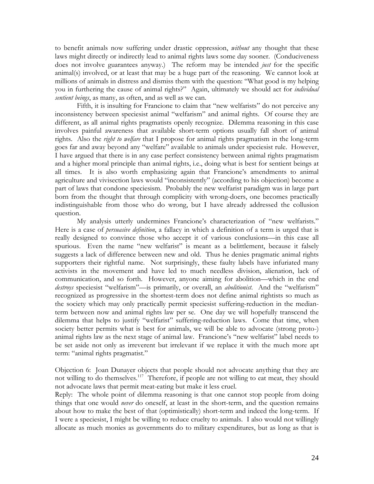to benefit animals now suffering under drastic oppression, *without* any thought that these laws might directly or indirectly lead to animal rights laws some day sooner. (Conduciveness does not involve guarantees anyway.) The reform may be intended *just* for the specific animal(s) involved, or at least that may be a huge part of the reasoning. We cannot look at millions of animals in distress and dismiss them with the question: "What good is my helping you in furthering the cause of animal rights?" Again, ultimately we should act for *individual sentient beings*, as many, as often, and as well as we can.

Fifth, it is insulting for Francione to claim that "new welfarists" do not perceive any inconsistency between speciesist animal "welfarism" and animal rights. Of course they are different, as all animal rights pragmatists openly recognize. Dilemma reasoning in this case involves painful awareness that available short-term options usually fall short of animal rights. Also the *right to welfare* that I propose for animal rights pragmatism in the long-term goes far and away beyond any "welfare" available to animals under speciesist rule. However, I have argued that there is in any case perfect consistency between animal rights pragmatism and a higher moral principle than animal rights, i.e., doing what is best for sentient beings at all times. It is also worth emphasizing again that Francione's amendments to animal agriculture and vivisection laws would "inconsistently" (according to his objection) become a part of laws that condone speciesism. Probably the new welfarist paradigm was in large part born from the thought that through complicity with wrong-doers, one becomes practically indistinguishable from those who do wrong, but I have already addressed the collusion question.

 My analysis utterly undermines Francione's characterization of "new welfarists." Here is a case of *persuasive definition*, a fallacy in which a definition of a term is urged that is really designed to convince those who accept it of various conclusions—in this case all spurious. Even the name "new welfarist" is meant as a belittlement, because it falsely suggests a lack of difference between new and old. Thus he denies pragmatic animal rights supporters their rightful name. Not surprisingly, these faulty labels have infuriated many activists in the movement and have led to much needless division, alienation, lack of communication, and so forth. However, anyone aiming for abolition—which in the end *destroys* speciesist "welfarism"—is primarily, or overall, an *abolitionist*. And the "welfarism" recognized as progressive in the shortest-term does not define animal rightists so much as the society which may only practically permit speciesist suffering-reduction in the medianterm between now and animal rights law per se. One day we will hopefully transcend the dilemma that helps to justify "welfarist" suffering-reduction laws. Come that time, when society better permits what is best for animals, we will be able to advocate (strong proto-) animal rights law as the next stage of animal law. Francione's "new welfarist" label needs to be set aside not only as irreverent but irrelevant if we replace it with the much more apt term: "animal rights pragmatist."

Objection 6: Joan Dunayer objects that people should not advocate anything that they are not willing to do themselves.<sup>117</sup> Therefore, if people are not willing to eat meat, they should not advocate laws that permit meat-eating but make it less cruel.

Reply: The whole point of dilemma reasoning is that one cannot stop people from doing things that one would *never* do oneself, at least in the short-term, and the question remains about how to make the best of that (optimistically) short-term and indeed the long-term. If I were a speciesist, I might be willing to reduce cruelty to animals. I also would not willingly allocate as much monies as governments do to military expenditures, but as long as that is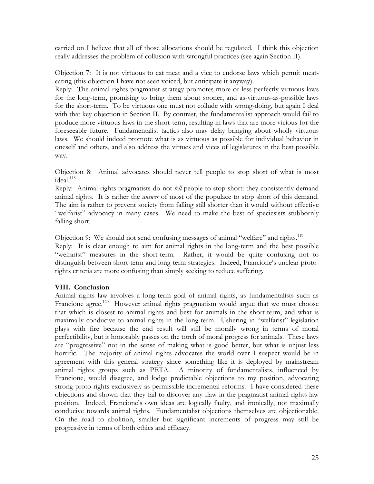carried on I believe that all of those allocations should be regulated. I think this objection really addresses the problem of collusion with wrongful practices (see again Section II).

Objection 7:It is not virtuous to eat meat and a vice to endorse laws which permit meateating (this objection I have not seen voiced, but anticipate it anyway).

Reply: The animal rights pragmatist strategy promotes more or less perfectly virtuous laws for the long-term, promising to bring them about sooner, and as-virtuous-as-possible laws for the short-term. To be virtuous one must not collude with wrong-doing, but again I deal with that key objection in Section II. By contrast, the fundamentalist approach would fail to produce more virtuous laws in the short-term, resulting in laws that are more vicious for the foreseeable future. Fundamentalist tactics also may delay bringing about wholly virtuous laws. We should indeed promote what is as virtuous as possible for individual behavior in oneself and others, and also address the virtues and vices of legislatures in the best possible way.

Objection 8: Animal advocates should never tell people to stop short of what is most ideal.<sup>118</sup>

Reply: Animal rights pragmatists do not *tell* people to stop short: they consistently demand animal rights. It is rather the *answer* of most of the populace to stop short of this demand. The aim is rather to prevent society from falling still shorter than it would without effective "welfarist" advocacy in many cases. We need to make the best of speciesists stubbornly falling short.

Objection 9: We should not send confusing messages of animal "welfare" and rights.<sup>119</sup> Reply:It is clear enough to aim for animal rights in the long-term and the best possible "welfarist" measures in the short-term. Rather, it would be quite confusing not to distinguish between short-term and long-term strategies. Indeed, Francione's unclear protorights criteria are more confusing than simply seeking to reduce suffering.

# **VIII. Conclusion**

Animal rights law involves a long-term goal of animal rights, as fundamentalists such as Francione agree.<sup>120</sup> However animal rights pragmatism would argue that we must choose that which is closest to animal rights and best for animals in the short-term, and what is maximally conducive to animal rights in the long-term. Ushering in "welfarist" legislation plays with fire because the end result will still be morally wrong in terms of moral perfectibility, but it honorably passes on the torch of moral progress for animals. These laws are "progressive" not in the sense of making what is good better, but what is unjust less horrific. The majority of animal rights advocates the world over I suspect would be in agreement with this general strategy since something like it is deployed by mainstream animal rights groups such as PETA. A minority of fundamentalists, influenced by Francione, would disagree, and lodge predictable objections to my position, advocating strong proto-rights exclusively as permissible incremental reforms. I have considered these objections and shown that they fail to discover any flaw in the pragmatist animal rights law position. Indeed, Francione's own ideas are logically faulty, and ironically, not maximally conducive towards animal rights. Fundamentalist objections themselves are objectionable. On the road to abolition, smaller but significant increments of progress may still be progressive in terms of both ethics and efficacy.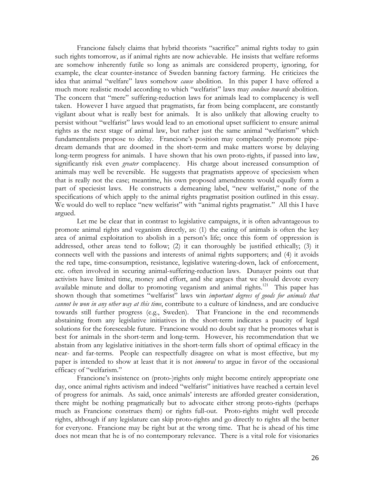Francione falsely claims that hybrid theorists "sacrifice" animal rights today to gain such rights tomorrow, as if animal rights are now achievable. He insists that welfare reforms are somehow inherently futile so long as animals are considered property, ignoring, for example, the clear counter-instance of Sweden banning factory farming. He criticizes the idea that animal "welfare" laws somehow *cause* abolition. In this paper I have offered a much more realistic model according to which "welfarist" laws may *conduce towards* abolition. The concern that "mere" suffering-reduction laws for animals lead to complacency is well taken. However I have argued that pragmatists, far from being complacent, are constantly vigilant about what is really best for animals. It is also unlikely that allowing cruelty to persist without "welfarist" laws would lead to an emotional upset sufficient to ensure animal rights as the next stage of animal law, but rather just the same animal "welfarism" which fundamentalists propose to delay. Francione's position may complacently promote pipedream demands that are doomed in the short-term and make matters worse by delaying long-term progress for animals. I have shown that his own proto-rights, if passed into law, significantly risk even *greater* complacency. His charge about increased consumption of animals may well be reversible. He suggests that pragmatists approve of speciesism when that is really not the case; meantime, his own proposed amendments would equally form a part of speciesist laws. He constructs a demeaning label, "new welfarist," none of the specifications of which apply to the animal rights pragmatist position outlined in this essay. We would do well to replace "new welfarist" with "animal rights pragmatist." All this I have argued.

Let me be clear that in contrast to legislative campaigns, it is often advantageous to promote animal rights and veganism directly, as: (1) the eating of animals is often the key area of animal exploitation to abolish in a person's life; once this form of oppression is addressed, other areas tend to follow; (2) it can thoroughly be justified ethically; (3) it connects well with the passions and interests of animal rights supporters; and (4) it avoids the red tape, time-consumption, resistance, legislative watering-down, lack of enforcement, etc. often involved in securing animal-suffering-reduction laws. Dunayer points out that activists have limited time, money and effort, and she argues that we should devote every available minute and dollar to promoting veganism and animal rights.<sup>121</sup> This paper has shown though that sometimes "welfarist" laws win *important degrees of goods for animals that cannot be won in any other way at this time*, contribute to a culture of kindness, and are conducive towards still further progress (e.g., Sweden). That Francione in the end recommends abstaining from any legislative initiatives in the short-term indicates a paucity of legal solutions for the foreseeable future. Francione would no doubt say that he promotes what is best for animals in the short-term and long-term. However, his recommendation that we abstain from any legislative initiatives in the short-term falls short of optimal efficacy in the near- and far-terms. People can respectfully disagree on what is most effective, but my paper is intended to show at least that it is not *immoral* to argue in favor of the occasional efficacy of "welfarism."

Francione's insistence on (proto-)rights only might become entirely appropriate one day, once animal rights activism and indeed "welfarist" initiatives have reached a certain level of progress for animals. As said, once animals' interests are afforded greater consideration, there might be nothing pragmatically but to advocate either strong proto-rights (perhaps much as Francione construes them) or rights full-out. Proto-rights might well precede rights, although if any legislature can skip proto-rights and go directly to rights all the better for everyone. Francione may be right but at the wrong time. That he is ahead of his time does not mean that he is of no contemporary relevance. There is a vital role for visionaries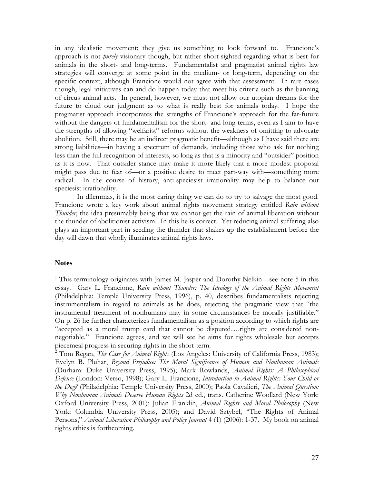in any idealistic movement: they give us something to look forward to. Francione's approach is not *purely* visionary though, but rather short-sighted regarding what is best for animals in the short- and long-terms. Fundamentalist and pragmatist animal rights law strategies will converge at some point in the medium- or long-term, depending on the specific context, although Francione would not agree with that assessment. In rare cases though, legal initiatives can and do happen today that meet his criteria such as the banning of circus animal acts. In general, however, we must not allow our utopian dreams for the future to cloud our judgment as to what is really best for animals today. I hope the pragmatist approach incorporates the strengths of Francione's approach for the far-future without the dangers of fundamentalism for the short- and long-terms, even as I aim to have the strengths of allowing "welfarist" reforms without the weakness of omitting to advocate abolition. Still, there may be an indirect pragmatic benefit—although as I have said there are strong liabilities—in having a spectrum of demands, including those who ask for nothing less than the full recognition of interests, so long as that is a minority and "outsider" position as it is now. That outsider stance may make it more likely that a more modest proposal might pass due to fear of—or a positive desire to meet part-way with—something more radical. In the course of history, anti-speciesist irrationality may help to balance out speciesist irrationality.

In dilemmas, it is the most caring thing we can do to try to salvage the most good. Francione wrote a key work about animal rights movement strategy entitled *Rain without Thunder*, the idea presumably being that we cannot get the rain of animal liberation without the thunder of abolitionist activism. In this he is correct. Yet reducing animal suffering also plays an important part in seeding the thunder that shakes up the establishment before the day will dawn that wholly illuminates animal rights laws.

#### **Notes**

 $\overline{a}$ 

<sup>&</sup>lt;sup>1</sup> This terminology originates with James M. Jasper and Dorothy Nelkin—see note 5 in this essay. Gary L. Francione, *Rain without Thunder: The Ideology of the Animal Rights Movement* (Philadelphia: Temple University Press, 1996), p. 40, describes fundamentalists rejecting instrumentalism in regard to animals as he does, rejecting the pragmatic view that "the instrumental treatment of nonhumans may in some circumstances be morally justifiable." On p. 26 he further characterizes fundamentalism as a position according to which rights are "accepted as a moral trump card that cannot be disputed….rights are considered nonnegotiable." Francione agrees, and we will see he aims for rights wholesale but accepts piecemeal progress in securing rights in the short-term.

<sup>&</sup>lt;sup>2</sup> Tom Regan, *The Case for Animal Rights* (Los Angeles: University of California Press, 1983); Evelyn B. Pluhar, *Beyond Prejudice: The Moral Significance of Human and Nonhuman Animals*  (Durham: Duke University Press, 1995); Mark Rowlands, *Animal Rights: A Philosophical Defence* (London: Verso, 1998); Gary L. Francione, *Introduction to Animal Rights: Your Child or the Dog?* (Philadelphia: Temple University Press, 2000); Paola Cavalieri, *The Animal Question: Why Nonhuman Animals Deserve Human Rights* 2d ed., trans. Catherine Woollard (New York: Oxford University Press, 2001); Julian Franklin, *Animal Rights and Moral Philosophy* (New York: Columbia University Press, 2005); and David Sztybel, "The Rights of Animal Persons," *Animal Liberation Philosophy and Policy Journal* 4 (1) (2006): 1-37. My book on animal rights ethics is forthcoming.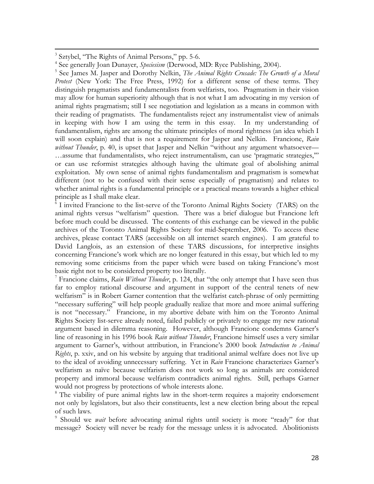<sup>3</sup> Sztybel, "The Rights of Animal Persons," pp. 5-6.

 $\overline{a}$ 

<sup>5</sup> See James M. Jasper and Dorothy Nelkin, *The Animal Rights Crusade: The Growth of a Moral Protest* (New York: The Free Press, 1992) for a different sense of these terms. They distinguish pragmatists and fundamentalists from welfarists, too. Pragmatism in their vision may allow for human superiority although that is not what I am advocating in my version of animal rights pragmatism; still I see negotiation and legislation as a means in common with their reading of pragmatists. The fundamentalists reject any instrumentalist view of animals in keeping with how I am using the term in this essay. In my understanding of fundamentalism, rights are among the ultimate principles of moral rightness (an idea which I will soon explain) and that is not a requirement for Jasper and Nelkin. Francione, *Rain without Thunder*, p. 40, is upset that Jasper and Nelkin "without any argument whatsoever— …assume that fundamentalists, who reject instrumentalism, can use 'pragmatic strategies,'" or can use reformist strategies although having the ultimate goal of abolishing animal exploitation. My own sense of animal rights fundamentalism and pragmatism is somewhat different (not to be confused with their sense especially of pragmatism) and relates to whether animal rights is a fundamental principle or a practical means towards a higher ethical principle as I shall make clear.

<sup>6</sup> I invited Francione to the list-serve of the Toronto Animal Rights Society (TARS) on the animal rights versus "welfarism" question. There was a brief dialogue but Francione left before much could be discussed. The contents of this exchange can be viewed in the public archives of the Toronto Animal Rights Society for mid-September, 2006. To access these archives, please contact TARS (accessible on all internet search engines). I am grateful to David Langlois, as an extension of these TARS discussions, for interpretive insights concerning Francione's work which are no longer featured in this essay, but which led to my removing some criticisms from the paper which were based on taking Francione's most basic right not to be considered property too literally.

7 Francione claims, *Rain Without Thunder*, p. 124, that "the only attempt that I have seen thus far to employ rational discourse and argument in support of the central tenets of new welfarism" is in Robert Garner contention that the welfarist catch-phrase of only permitting "necessary suffering" will help people gradually realize that more and more animal suffering is not "necessary." Francione, in my abortive debate with him on the Toronto Animal Rights Society list-serve already noted, failed publicly or privately to engage my new rational argument based in dilemma reasoning. However, although Francione condemns Garner's line of reasoning in his 1996 book *Rain without Thunder*, Francione himself uses a very similar argument to Garner's, without attribution, in Francione's 2000 book *Introduction to Animal Rights*, p. xxiv, and on his website by arguing that traditional animal welfare does not live up to the ideal of avoiding unnecessary suffering. Yet in *Rain* Francione characterizes Garner's welfarism as naïve because welfarism does not work so long as animals are considered property and immoral because welfarism contradicts animal rights. Still, perhaps Garner would not progress by protections of whole interests alone.

<sup>8</sup> The viability of pure animal rights law in the short-term requires a majority endorsement not only by legislators, but also their constituents, lest a new election bring about the repeal of such laws.

9 Should we *wait* before advocating animal rights until society is more "ready" for that message? Society will never be ready for the message unless it is advocated. Abolitionists

<sup>4</sup> See generally Joan Dunayer, *Speciesism* (Derwood, MD: Ryce Publishing, 2004).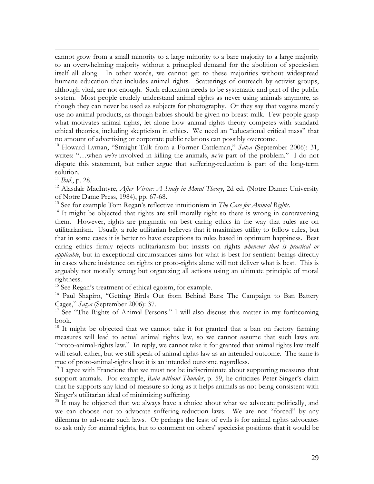cannot grow from a small minority to a large minority to a bare majority to a large majority to an overwhelming majority without a principled demand for the abolition of speciesism itself all along. In other words, we cannot get to these majorities without widespread humane education that includes animal rights. Scatterings of outreach by activist groups, although vital, are not enough. Such education needs to be systematic and part of the public system. Most people crudely understand animal rights as never using animals anymore, as though they can never be used as subjects for photography. Or they say that vegans merely use no animal products, as though babies should be given no breast-milk. Few people grasp what motivates animal rights, let alone how animal rights theory competes with standard ethical theories, including skepticism in ethics. We need an "educational critical mass" that no amount of advertising or corporate public relations can possibly overcome.

10 Howard Lyman, "Straight Talk from a Former Cattleman," *Satya* (September 2006): 31, writes: "…when *we're* involved in killing the animals, *we're* part of the problem." I do not dispute this statement, but rather argue that suffering-reduction is part of the long-term solution.

 $\overline{a}$ 

<sup>11</sup> *Ibid.*, p. 28.<br><sup>12</sup> Alasdair MacIntyre, *After Virtue: A Study in Moral Theory*, 2d ed. (Notre Dame: University of Notre Dame Press, 1984), pp. 67-68.

<sup>13</sup> See for example Tom Regan's reflective intuitionism in *The Case for Animal Rights*.<br><sup>14</sup> It might be objected that rights are still morally right so there is wrong in contravening them. However, rights are pragmatic on best caring ethics in the way that rules are on utilitarianism. Usually a rule utilitarian believes that it maximizes utility to follow rules, but that in some cases it is better to have exceptions to rules based in optimum happiness. Best caring ethics firmly rejects utilitarianism but insists on rights *whenever that is practical or applicable*, but in exceptional circumstances aims for what is best for sentient beings directly in cases where insistence on rights or proto-rights alone will not deliver what is best. This is arguably not morally wrong but organizing all actions using an ultimate principle of moral rightness.

<sup>15</sup> See Regan's treatment of ethical egoism, for example.

<sup>16</sup> Paul Shapiro, "Getting Birds Out from Behind Bars: The Campaign to Ban Battery Cages," *Satya* (September 2006): 37.

 $17$  See "The Rights of Animal Persons." I will also discuss this matter in my forthcoming book.

 $18$  It might be objected that we cannot take it for granted that a ban on factory farming measures will lead to actual animal rights law, so we cannot assume that such laws are "proto-animal-rights law." In reply, we cannot take it for granted that animal rights law itself will result either, but we still speak of animal rights law as an intended outcome. The same is true of proto-animal-rights law: it is an intended outcome regardless.

 $19$  I agree with Francione that we must not be indiscriminate about supporting measures that support animals. For example, *Rain without Thunder*, p. 59, he criticizes Peter Singer's claim that he supports any kind of measure so long as it helps animals as not being consistent with Singer's utilitarian ideal of minimizing suffering.

 $20$  It may be objected that we always have a choice about what we advocate politically, and we can choose not to advocate suffering-reduction laws. We are not "forced" by any dilemma to advocate such laws. Or perhaps the least of evils is for animal rights advocates to ask only for animal rights, but to comment on others' speciesist positions that it would be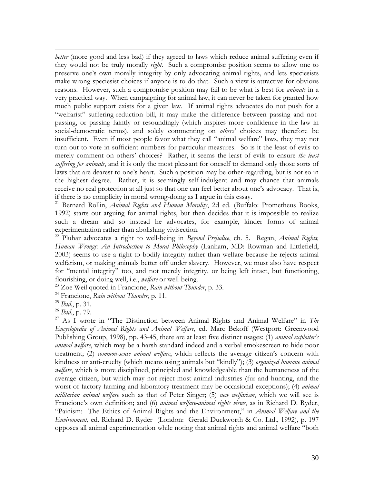*better* (more good and less bad) if they agreed to laws which reduce animal suffering even if they would not be truly morally *right*. Such a compromise position seems to allow one to preserve one's own morally integrity by only advocating animal rights, and lets speciesists make wrong speciesist choices if anyone is to do that. Such a view is attractive for obvious reasons. However, such a compromise position may fail to be what is best for *animals* in a very practical way. When campaigning for animal law, it can never be taken for granted how much public support exists for a given law. If animal rights advocates do not push for a "welfarist" suffering-reduction bill, it may make the difference between passing and notpassing, or passing faintly or resoundingly (which inspires more confidence in the law in social-democratic terms), and solely commenting on *others'* choices may therefore be insufficient. Even if most people favor what they call "animal welfare" laws, they may not turn out to vote in sufficient numbers for particular measures. So is it the least of evils to merely comment on others' choices? Rather, it seems the least of evils to ensure *the least suffering for animals*, and it is only the most pleasant for oneself to demand only those sorts of laws that are dearest to one's heart. Such a position may be other-regarding, but is not so in the highest degree. Rather, it is seemingly self-indulgent and may chance that animals receive no real protection at all just so that one can feel better about one's advocacy. That is, if there is no complicity in moral wrong-doing as I argue in this essay.

21 Bernard Rollin, *Animal Rights and Human Morality*, 2d ed. (Buffalo: Prometheus Books, 1992) starts out arguing for animal rights, but then decides that it is impossible to realize such a dream and so instead he advocates, for example, kinder forms of animal experimentation rather than abolishing vivisection.

22 Pluhar advocates a right to well-being in *Beyond Prejudice*, ch. 5. Regan, *Animal Rights, Human Wrongs: An Introduction to Moral Philosophy* (Lanham, MD: Rowman and Littlefield, 2003) seems to use a right to bodily integrity rather than welfare because he rejects animal welfarism, or making animals better off under slavery. However, we must also have respect for "mental integrity" too, and not merely integrity, or being left intact, but functioning, flourishing, or doing well, i.e., *welfare* or well-being.

23 Zoe Weil quoted in Francione, *Rain without Thunder*, p. 33.

24 Francione, *Rain without Thunder*, p. 11.

<sup>25</sup> *Ibid*., p. 31.

 $\overline{a}$ 

<sup>26</sup> *Ibid.*, p. 79.

27 As I wrote in "The Distinction between Animal Rights and Animal Welfare" in *The Encyclopedia of Animal Rights and Animal Welfare*, ed. Marc Bekoff (Westport: Greenwood Publishing Group, 1998), pp. 43-45, there are at least five distinct usages: (1) *animal exploiter's animal welfare*, which may be a harsh standard indeed and a verbal smokescreen to hide poor treatment; (2) *common-sense animal welfare*, which reflects the average citizen's concern with kindness or anti-cruelty (which means using animals but "kindly"); (3) *organized humane animal welfare*, which is more disciplined, principled and knowledgeable than the humaneness of the average citizen, but which may not reject most animal industries (fur and hunting, and the worst of factory farming and laboratory treatment may be occasional exceptions); (4) *animal utilitarian animal welfare* such as that of Peter Singer; (5) *new welfarism*, which we will see is Francione's own definition; and (6) *animal welfare-animal rights views*, as in Richard D. Ryder, "Painism: The Ethics of Animal Rights and the Environment," in *Animal Welfare and the Environment*, ed. Richard D. Ryder (London: Gerald Duckworth & Co. Ltd., 1992), p. 197 opposes all animal experimentation while noting that animal rights and animal welfare "both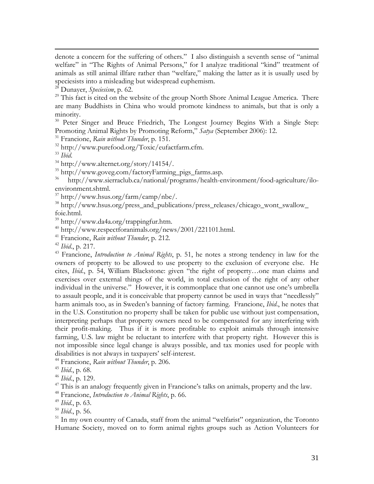denote a concern for the suffering of others." I also distinguish a seventh sense of "animal welfare" in "The Rights of Animal Persons," for I analyze traditional "kind" treatment of animals as still animal illfare rather than "welfare," making the latter as it is usually used by speciesists into a misleading but widespread euphemism.

28 Dunayer, *Speciesism*, p. 62.

 $29$  This fact is cited on the website of the group North Shore Animal League America. There are many Buddhists in China who would promote kindness to animals, but that is only a minority.

<sup>30</sup> Peter Singer and Bruce Friedrich, The Longest Journey Begins With a Single Step: Promoting Animal Rights by Promoting Reform," *Satya* (September 2006): 12.

31 Francione, *Rain without Thunder*, p. 151.

32 http://www.purefood.org/Toxic/eufactfarm.cfm.

 $\overline{a}$ 

<sup>33</sup> Ibid.<br><sup>34</sup> http://www.alternet.org/story/14154/.

35 http://www.goveg.com/factoryFarming\_pigs\_farms.asp.

36 http://www.sierraclub.ca/national/programs/health-environment/food-agriculture/iloenvironment.shtml.

37 http://www.hsus.org/farm/camp/nbe/.

38 http://www.hsus.org/press\_and\_publications/press\_releases/chicago\_wont\_swallow\_ foie.html.

39 http://www.da4a.org/trappingfur.htm.

40 http://www.respectforanimals.org/news/2001/221101.html.

41 Francione, *Rain without Thunder*, p. 212.

<sup>42</sup> *Ibid*., p. 217.

43 Francione, *Introduction to Animal Rights*, p. 51, he notes a strong tendency in law for the owners of property to be allowed to use property to the exclusion of everyone else. He cites, *Ibid*., p. 54, William Blackstone: given "the right of property…one man claims and exercises over external things of the world, in total exclusion of the right of any other individual in the universe." However, it is commonplace that one cannot use one's umbrella to assault people, and it is conceivable that property cannot be used in ways that "needlessly" harm animals too, as in Sweden's banning of factory farming. Francione, *Ibid*., he notes that in the U.S. Constitution no property shall be taken for public use without just compensation, interpreting perhaps that property owners need to be compensated for any interfering with their profit-making. Thus if it is more profitable to exploit animals through intensive farming, U.S. law might be reluctant to interfere with that property right. However this is not impossible since legal change is always possible, and tax monies used for people with disabilities is not always in taxpayers' self-interest.

44 Francione, *Rain without Thunder*, p. 206.

<sup>45</sup> *Ibid*., p. 68.

<sup>46</sup> *Ibid*., p. 129.

 $47$  This is an analogy frequently given in Francione's talks on animals, property and the law.

48 Francione, *Introduction to Animal Rights*, p. 66.

<sup>49</sup> *Ibid*., p. 63.

<sup>50</sup> *Ibid*., p. 56.

<sup>51</sup> In my own country of Canada, staff from the animal "welfarist" organization, the Toronto Humane Society, moved on to form animal rights groups such as Action Volunteers for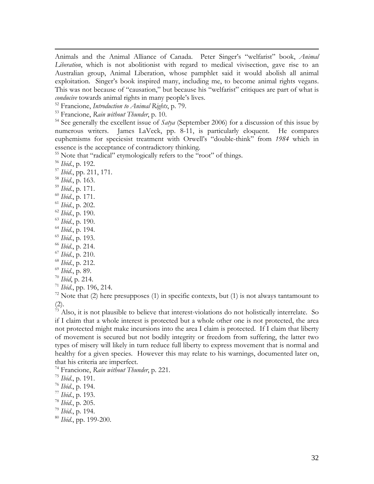Animals and the Animal Alliance of Canada. Peter Singer's "welfarist" book, *Animal Liberation*, which is not abolitionist with regard to medical vivisection, gave rise to an Australian group, Animal Liberation, whose pamphlet said it would abolish all animal exploitation. Singer's book inspired many, including me, to become animal rights vegans. This was not because of "causation," but because his "welfarist" critiques are part of what is *conducive* towards animal rights in many people's lives.

52 Francione, *Introduction to Animal Rights*, p. 79.

53 Francione, *Rain without Thunder*, p. 10.

54 See generally the excellent issue of *Satya* (September 2006) for a discussion of this issue by numerous writers. James LaVeck, pp. 8-11, is particularly eloquent. He compares euphemisms for speciesist treatment with Orwell's "double-think" from *1984* which in essence is the acceptance of contradictory thinking.

<sup>55</sup> Note that "radical" etymologically refers to the "root" of things.

<sup>56</sup> *Ibid*., p. 192.

 $\overline{a}$ 

<sup>57</sup> *Ibid*., pp. 211, 171.

<sup>58</sup> *Ibid*., p. 163.

<sup>59</sup> *Ibid*., p. 171.

<sup>60</sup> *Ibid*., p. 171.

<sup>61</sup> *Ibid*., p. 202.

<sup>62</sup> *Ibid*., p. 190.

<sup>63</sup> *Ibid*., p. 190.

<sup>64</sup> *Ibid*., p. 194.

<sup>65</sup> *Ibid*., p. 193.

<sup>66</sup> *Ibid*., p. 214.

<sup>67</sup> *Ibid*., p. 210.

<sup>68</sup> *Ibid*., p. 212.

<sup>69</sup> *Ibid*., p. 89.

<sup>70</sup> *Ibid*, p. 214.

<sup>71</sup> *Ibid*., pp. 196, 214.

 $72$  Note that (2) here presupposes (1) in specific contexts, but (1) is not always tantamount to (2).

 $\frac{73}{13}$  Also, it is not plausible to believe that interest-violations do not holistically interrelate. So if I claim that a whole interest is protected but a whole other one is not protected, the area not protected might make incursions into the area I claim is protected. If I claim that liberty of movement is secured but not bodily integrity or freedom from suffering, the latter two types of misery will likely in turn reduce full liberty to express movement that is normal and healthy for a given species. However this may relate to his warnings, documented later on, that his criteria are imperfect.

74 Francione, *Rain without Thunder*, p. 221.

<sup>76</sup> *Ibid*., p. 194. 77 *Ibid*., p. 193.

<sup>78</sup> *Ibid*., p. 205.

<sup>79</sup> *Ibid*., p. 194.

<sup>80</sup> *Ibid*., pp. 199-200.

<sup>75</sup> *Ibid*., p. 191.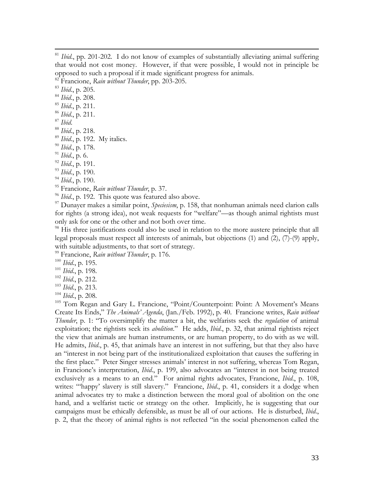82 Francione, *Rain without Thunder*, pp. 203-205.

<sup>83</sup> *Ibid*., p. 205.

- <sup>84</sup> *Ibid*., p. 208.
- <sup>85</sup> *Ibid*., p. 211.
- <sup>86</sup> *Ibid*., p. 211.
- 

 $\overline{a}$ 

- <sup>87</sup> *Ibid*. 88 *Ibid*., p. 218.
- <sup>89</sup> *Ibid*., p. 192. My italics.
- <sup>90</sup> *Ibid*., p. 178.
- <sup>91</sup> *Ibid*., p. 6.
- <sup>92</sup> *Ibid*., p. 191.
- <sup>93</sup> *Ibid*., p. 190.
- <sup>94</sup> *Ibid*., p. 190.
- 95 Francione, *Rain without Thunder*, p. 37.
- <sup>96</sup> *Ibid.*, p. 192. This quote was featured also above.

<sup>97</sup> Dunayer makes a similar point, *Speciesism*, p. 158, that nonhuman animals need clarion calls for rights (a strong idea), not weak requests for "welfare"—as though animal rightists must only ask for one or the other and not both over time.

<sup>98</sup> His three justifications could also be used in relation to the more austere principle that all legal proposals must respect all interests of animals, but objections (1) and (2), (7)-(9) apply, with suitable adjustments, to that sort of strategy.

99 Francione, *Rain without Thunder*, p. 176.

- <sup>100</sup> *Ibid*., p. 195.
- <sup>101</sup> *Ibid*., p. 198.
- <sup>102</sup> *Ibid*., p. 212.
- <sup>103</sup> *Ibid*., p. 213.
- <sup>104</sup> *Ibid*., p. 208.

<sup>105</sup> Tom Regan and Gary L. Francione, "Point/Counterpoint: Point: A Movement's Means Create Its Ends," *The Animals' Agenda*, (Jan./Feb. 1992), p. 40. Francione writes, *Rain without Thunder*, p. 1: "To oversimplify the matter a bit, the welfarists seek the *regulation* of animal exploitation; the rightists seek its *abolition*." He adds, *Ibid*., p. 32, that animal rightists reject the view that animals are human instruments, or are human property, to do with as we will. He admits, *Ibid*., p. 45, that animals have an interest in not suffering, but that they also have an "interest in not being part of the institutionalized exploitation that causes the suffering in the first place." Peter Singer stresses animals' interest in not suffering, whereas Tom Regan, in Francione's interpretation, *Ibid*., p. 199, also advocates an "interest in not being treated exclusively as a means to an end." For animal rights advocates, Francione, *Ibid*., p. 108, writes: "'happy' slavery is still slavery." Francione, *Ibid.*, p. 41, considers it a dodge when animal advocates try to make a distinction between the moral goal of abolition on the one hand, and a welfarist tactic or strategy on the other. Implicitly, he is suggesting that our campaigns must be ethically defensible, as must be all of our actions. He is disturbed, *Ibid*., p. 2, that the theory of animal rights is not reflected "in the social phenomenon called the

<sup>&</sup>lt;sup>81</sup> *Ibid.*, pp. 201-202. I do not know of examples of substantially alleviating animal suffering that would not cost money. However, if that were possible, I would not in principle be opposed to such a proposal if it made significant progress for animals.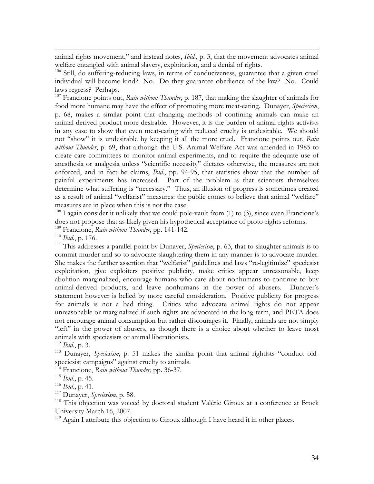animal rights movement," and instead notes, *Ibid*., p. 3, that the movement advocates animal welfare entangled with animal slavery, exploitation, and a denial of rights.

<sup>106</sup> Still, do suffering-reducing laws, in terms of conduciveness, guarantee that a given cruel individual will become kind? No. Do they guarantee obedience of the law? No. Could laws regress? Perhaps.

107 Francione points out, *Rain without Thunder*, p. 187, that making the slaughter of animals for food more humane may have the effect of promoting more meat-eating. Dunayer, *Speciesism*, p. 68, makes a similar point that changing methods of confining animals can make an animal-derived product more desirable. However, it is the burden of animal rights activists in any case to show that even meat-eating with reduced cruelty is undesirable. We should not "show" it is undesirable by keeping it all the more cruel. Francione points out, *Rain without Thunder*, p. 69, that although the U.S. Animal Welfare Act was amended in 1985 to create care committees to monitor animal experiments, and to require the adequate use of anesthesia or analgesia unless "scientific necessity" dictates otherwise, the measures are not enforced, and in fact he claims, *Ibid*., pp. 94-95, that statistics show that the number of painful experiments has increased. Part of the problem is that scientists themselves determine what suffering is "necessary." Thus, an illusion of progress is sometimes created as a result of animal "welfarist" measures: the public comes to believe that animal "welfare" measures are in place when this is not the case.

 $108$  I again consider it unlikely that we could pole-vault from (1) to (3), since even Francione's does not propose that as likely given his hypothetical acceptance of proto-rights reforms. 109 Francione, *Rain without Thunder*, pp. 141-142.

 $\overline{a}$ 

<sup>110</sup> *Ibid.*, p. 176.<br><sup>111</sup> This addresses a parallel point by Dunayer, *Speciesism*, p. 63, that to slaughter animals is to commit murder and so to advocate slaughtering them in any manner is to advocate murder. She makes the further assertion that "welfarist" guidelines and laws "re-legitimize" speciesist exploitation, give exploiters positive publicity, make critics appear unreasonable, keep abolition marginalized, encourage humans who care about nonhumans to continue to buy animal-derived products, and leave nonhumans in the power of abusers. Dunayer's statement however is belied by more careful consideration. Positive publicity for progress for animals is not a bad thing. Critics who advocate animal rights do not appear unreasonable or marginalized if such rights are advocated in the long-term, and PETA does not encourage animal consumption but rather discourages it. Finally, animals are not simply "left" in the power of abusers, as though there is a choice about whether to leave most animals with speciesists or animal liberationists.

<sup>112</sup> *Ibid*., p. 3.

113 Dunayer, *Speciesism*, p. 51 makes the similar point that animal rightists "conduct oldspeciesist campaigns" against cruelty to animals.

114 Francione, *Rain without Thunder*, pp. 36-37.

<sup>116</sup> *Ibid*., p. 41.

117 Dunayer, *Speciesism*, p. 58.

<sup>118</sup> This objection was voiced by doctoral student Valérie Giroux at a conference at Brock University March 16, 2007.

<sup>119</sup> Again I attribute this objection to Giroux although I have heard it in other places.

<sup>115</sup> *Ibid*., p. 45.